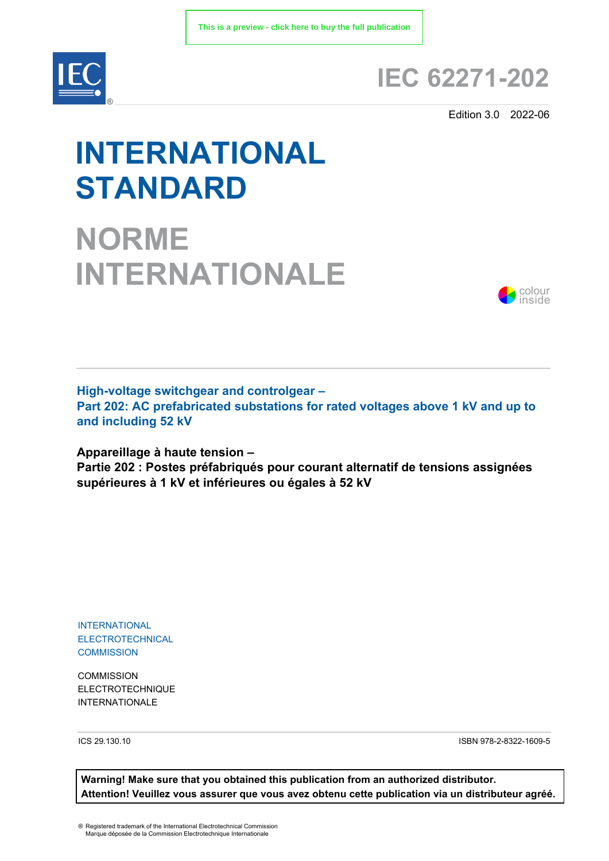

# **IEC 62271-202**

Edition 3.0 2022-06

# **INTERNATIONAL STANDARD**

**NORME INTERNATIONALE**



**High-voltage switchgear and controlgear – Part 202: AC prefabricated substations for rated voltages above 1 kV and up to and including 52 kV**

**Appareillage à haute tension –** 

**Partie 202 : Postes préfabriqués pour courant alternatif de tensions assignées supérieures à 1 kV et inférieures ou égales à 52 kV**

INTERNATIONAL ELECTROTECHNICAL **COMMISSION** 

**COMMISSION** ELECTROTECHNIQUE INTERNATIONALE

ICS 29.130.10 ISBN 978-2-8322-1609-5

**Warning! Make sure that you obtained this publication from an authorized distributor. Attention! Veuillez vous assurer que vous avez obtenu cette publication via un distributeur agréé.**

® Registered trademark of the International Electrotechnical Commission Marque déposée de la Commission Electrotechnique Internationale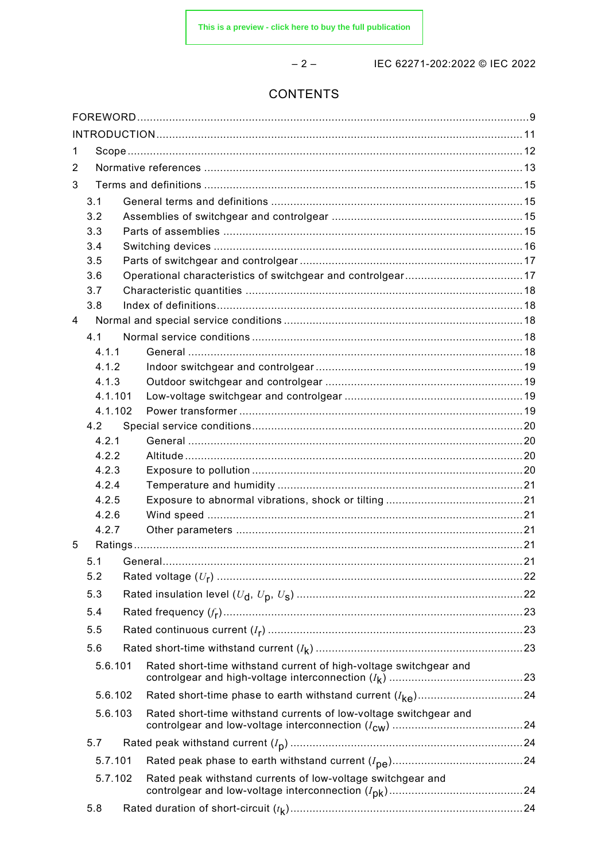$-2-$ 

IEC 62271-202:2022 © IEC 2022

# CONTENTS

| 1 |                |  |                                                                   |  |  |
|---|----------------|--|-------------------------------------------------------------------|--|--|
| 2 |                |  |                                                                   |  |  |
| 3 |                |  |                                                                   |  |  |
|   | 3.1            |  |                                                                   |  |  |
|   | 3.2            |  |                                                                   |  |  |
|   | 3.3            |  |                                                                   |  |  |
|   | 3.4            |  |                                                                   |  |  |
|   | 3.5            |  |                                                                   |  |  |
|   | 3.6            |  |                                                                   |  |  |
|   | 3.7            |  |                                                                   |  |  |
|   | 3.8            |  |                                                                   |  |  |
| 4 |                |  |                                                                   |  |  |
|   | 4.1            |  |                                                                   |  |  |
|   | 4.1.1          |  |                                                                   |  |  |
|   | 4.1.2          |  |                                                                   |  |  |
|   | 4.1.3          |  |                                                                   |  |  |
|   | 4.1.101        |  |                                                                   |  |  |
|   | 4.1.102        |  |                                                                   |  |  |
|   | 4.2            |  |                                                                   |  |  |
|   | 4.2.1          |  |                                                                   |  |  |
|   | 4.2.2          |  |                                                                   |  |  |
|   | 4.2.3<br>4.2.4 |  |                                                                   |  |  |
|   | 4.2.5          |  |                                                                   |  |  |
|   | 4.2.6          |  |                                                                   |  |  |
|   | 4.2.7          |  |                                                                   |  |  |
| 5 |                |  |                                                                   |  |  |
|   | 5.1            |  |                                                                   |  |  |
|   | 5.2            |  |                                                                   |  |  |
|   | 5.3            |  |                                                                   |  |  |
|   |                |  |                                                                   |  |  |
|   | 5.4            |  |                                                                   |  |  |
|   | 5.5            |  |                                                                   |  |  |
|   | 5.6            |  |                                                                   |  |  |
|   | 5.6.101        |  | Rated short-time withstand current of high-voltage switchgear and |  |  |
|   | 5.6.102        |  |                                                                   |  |  |
|   | 5.6.103        |  | Rated short-time withstand currents of low-voltage switchgear and |  |  |
|   | 5.7            |  |                                                                   |  |  |
|   | 5.7.101        |  |                                                                   |  |  |
|   | 5.7.102        |  | Rated peak withstand currents of low-voltage switchgear and       |  |  |
|   | 5.8            |  |                                                                   |  |  |
|   |                |  |                                                                   |  |  |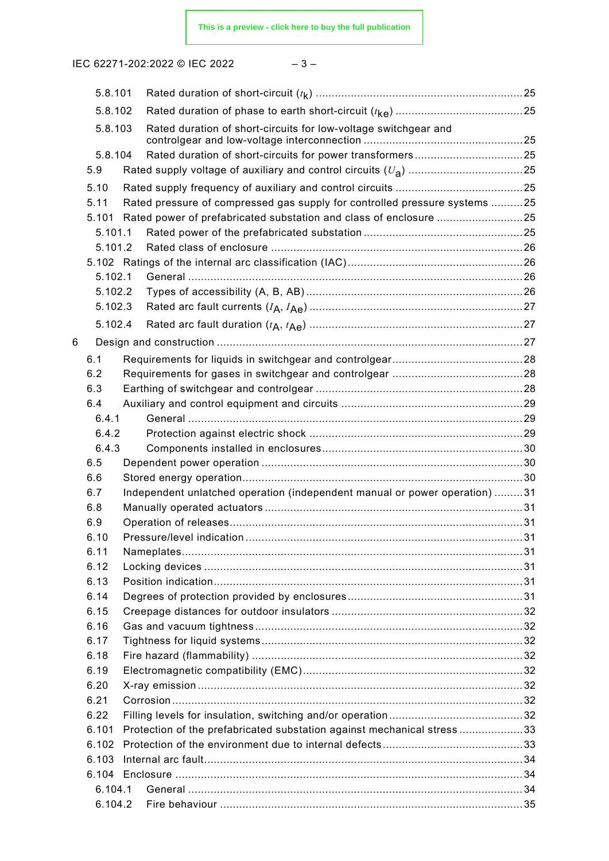IEC 62271-202:2022 © IEC 2022 – 3 –

|   | 5.8.101      |                                                                            |  |
|---|--------------|----------------------------------------------------------------------------|--|
|   | 5.8.102      |                                                                            |  |
|   | 5.8.103      | Rated duration of short-circuits for low-voltage switchgear and            |  |
|   |              |                                                                            |  |
|   | 5.8.104      | Rated duration of short-circuits for power transformers25                  |  |
|   | 5.9          |                                                                            |  |
|   | 5.10         |                                                                            |  |
|   | 5.11         | Rated pressure of compressed gas supply for controlled pressure systems 25 |  |
|   | 5.101        | Rated power of prefabricated substation and class of enclosure 25          |  |
|   | 5.101.1      |                                                                            |  |
|   | 5.101.2      |                                                                            |  |
|   |              |                                                                            |  |
|   | 5.102.1      |                                                                            |  |
|   | 5.102.2      |                                                                            |  |
|   | 5.102.3      |                                                                            |  |
|   | 5.102.4      |                                                                            |  |
| 6 |              |                                                                            |  |
|   | 6.1          |                                                                            |  |
|   | 6.2          |                                                                            |  |
|   | 6.3          |                                                                            |  |
|   | 6.4          |                                                                            |  |
|   | 6.4.1        |                                                                            |  |
|   | 6.4.2        |                                                                            |  |
|   | 6.4.3        |                                                                            |  |
|   | 6.5          |                                                                            |  |
|   | 6.6          |                                                                            |  |
|   | 6.7          | Independent unlatched operation (independent manual or power operation) 31 |  |
|   | 6.8          |                                                                            |  |
|   | 6.9          |                                                                            |  |
|   | 6.10         |                                                                            |  |
|   | 6.11         |                                                                            |  |
|   | 6.12         |                                                                            |  |
|   | 6.13         |                                                                            |  |
|   | 6.14         |                                                                            |  |
|   | 6.15         |                                                                            |  |
|   | 6.16         |                                                                            |  |
|   | 6.17         |                                                                            |  |
|   | 6.18         |                                                                            |  |
|   | 6.19<br>6.20 |                                                                            |  |
|   | 6.21         |                                                                            |  |
|   | 6.22         |                                                                            |  |
|   | 6.101        | Protection of the prefabricated substation against mechanical stress33     |  |
|   | 6.102        |                                                                            |  |
|   | 6.103        |                                                                            |  |
|   |              |                                                                            |  |
|   | 6.104.1      |                                                                            |  |
|   | 6.104.2      |                                                                            |  |
|   |              |                                                                            |  |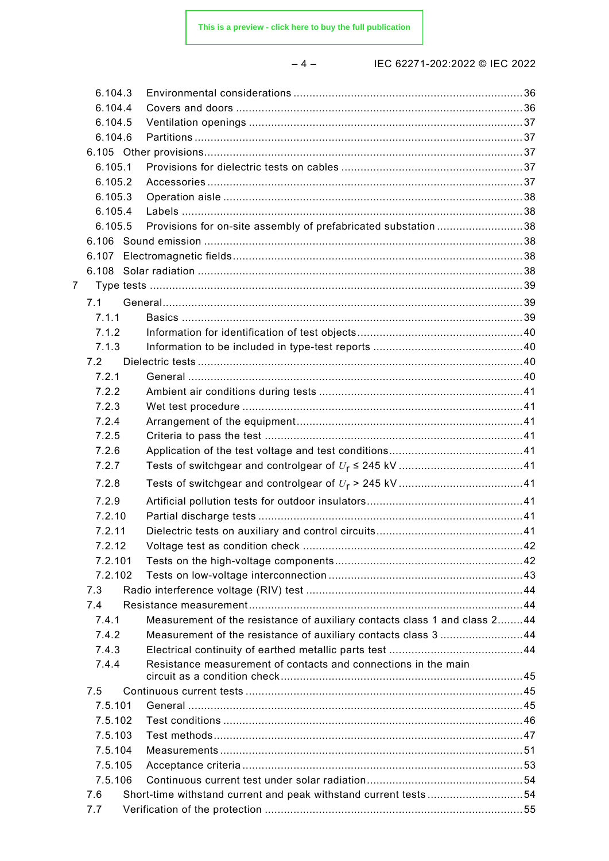# – 4 – IEC 62271-202:2022 © IEC 2022

|   | 6.104.3 |                                                                           |  |
|---|---------|---------------------------------------------------------------------------|--|
|   | 6.104.4 |                                                                           |  |
|   | 6.104.5 |                                                                           |  |
|   | 6.104.6 |                                                                           |  |
|   |         |                                                                           |  |
|   | 6.105.1 |                                                                           |  |
|   | 6.105.2 |                                                                           |  |
|   | 6.105.3 |                                                                           |  |
|   | 6.105.4 |                                                                           |  |
|   | 6.105.5 | Provisions for on-site assembly of prefabricated substation38             |  |
|   |         |                                                                           |  |
|   | 6.107   |                                                                           |  |
|   |         |                                                                           |  |
| 7 |         |                                                                           |  |
|   | 7.1     |                                                                           |  |
|   | 7.1.1   |                                                                           |  |
|   | 7.1.2   |                                                                           |  |
|   | 7.1.3   |                                                                           |  |
|   | 7.2     |                                                                           |  |
|   | 7.2.1   |                                                                           |  |
|   | 7.2.2   |                                                                           |  |
|   | 7.2.3   |                                                                           |  |
|   | 7.2.4   |                                                                           |  |
|   | 7.2.5   |                                                                           |  |
|   | 7.2.6   |                                                                           |  |
|   | 7.2.7   |                                                                           |  |
|   | 7.2.8   |                                                                           |  |
|   | 7.2.9   |                                                                           |  |
|   | 7.2.10  |                                                                           |  |
|   | 7.2.11  |                                                                           |  |
|   | 7.2.12  |                                                                           |  |
|   | 7.2.101 |                                                                           |  |
|   | 7.2.102 |                                                                           |  |
|   | 7.3     |                                                                           |  |
|   | 7.4     |                                                                           |  |
|   | 7.4.1   | Measurement of the resistance of auxiliary contacts class 1 and class 244 |  |
|   | 7.4.2   | Measurement of the resistance of auxiliary contacts class 3 44            |  |
|   | 7.4.3   |                                                                           |  |
|   | 7.4.4   | Resistance measurement of contacts and connections in the main            |  |
|   | 7.5     |                                                                           |  |
|   | 7.5.101 |                                                                           |  |
|   | 7.5.102 |                                                                           |  |
|   | 7.5.103 |                                                                           |  |
|   | 7.5.104 |                                                                           |  |
|   | 7.5.105 |                                                                           |  |
|   | 7.5.106 |                                                                           |  |
|   | 7.6     |                                                                           |  |
|   | 7.7     |                                                                           |  |
|   |         |                                                                           |  |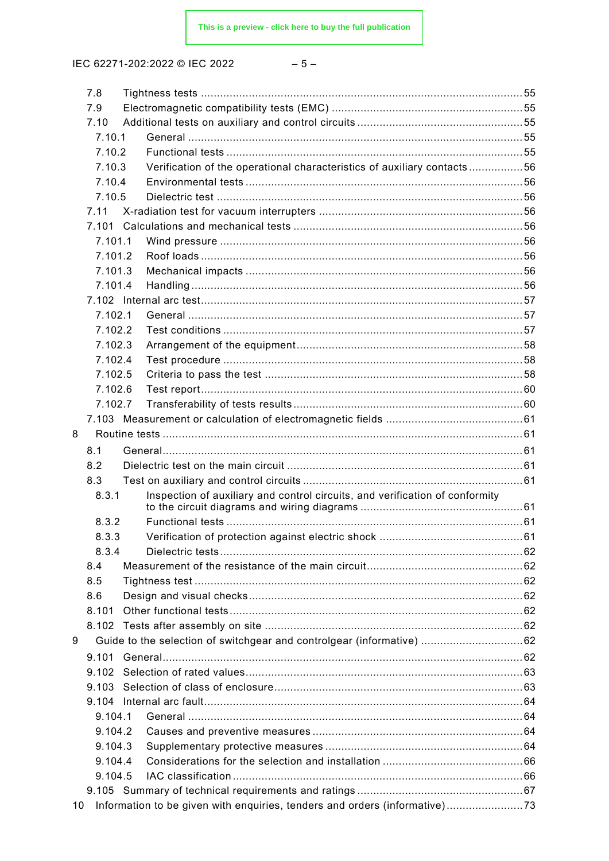IEC 62271-202:2022 © IEC 2022

$$
-5- \nonumber\\
$$

|   | 7.8     |                                                                               |  |
|---|---------|-------------------------------------------------------------------------------|--|
|   | 7.9     |                                                                               |  |
|   | 7.10    |                                                                               |  |
|   | 7.10.1  |                                                                               |  |
|   | 7.10.2  |                                                                               |  |
|   | 7.10.3  | Verification of the operational characteristics of auxiliary contacts56       |  |
|   | 7.10.4  |                                                                               |  |
|   | 7.10.5  |                                                                               |  |
|   | 7.11    |                                                                               |  |
|   | 7.101   |                                                                               |  |
|   | 7.101.1 |                                                                               |  |
|   | 7.101.2 |                                                                               |  |
|   | 7.101.3 |                                                                               |  |
|   | 7.101.4 |                                                                               |  |
|   |         |                                                                               |  |
|   | 7.102.1 |                                                                               |  |
|   | 7.102.2 |                                                                               |  |
|   | 7.102.3 |                                                                               |  |
|   | 7.102.4 |                                                                               |  |
|   | 7.102.5 |                                                                               |  |
|   | 7.102.6 |                                                                               |  |
|   | 7.102.7 |                                                                               |  |
|   |         |                                                                               |  |
| 8 |         |                                                                               |  |
|   | 8.1     |                                                                               |  |
|   | 8.2     |                                                                               |  |
|   | 8.3     |                                                                               |  |
|   | 8.3.1   | Inspection of auxiliary and control circuits, and verification of conformity  |  |
|   |         |                                                                               |  |
|   | 8.3.2   |                                                                               |  |
|   | 8.3.3   |                                                                               |  |
|   | 8.3.4   |                                                                               |  |
|   | 8.4     |                                                                               |  |
|   | 8.5     |                                                                               |  |
|   | 8.6     |                                                                               |  |
|   | 8.101   |                                                                               |  |
|   | 8.102   |                                                                               |  |
| 9 |         | Guide to the selection of switchgear and controlgear (informative) 62         |  |
|   | 9.101   |                                                                               |  |
|   | 9.102   |                                                                               |  |
|   | 9.103   |                                                                               |  |
|   | 9.104   |                                                                               |  |
|   | 9.104.1 |                                                                               |  |
|   | 9.104.2 |                                                                               |  |
|   | 9.104.3 |                                                                               |  |
|   | 9.104.4 |                                                                               |  |
|   | 9.104.5 |                                                                               |  |
|   |         |                                                                               |  |
|   |         | 10 Information to be given with enquiries, tenders and orders (informative)73 |  |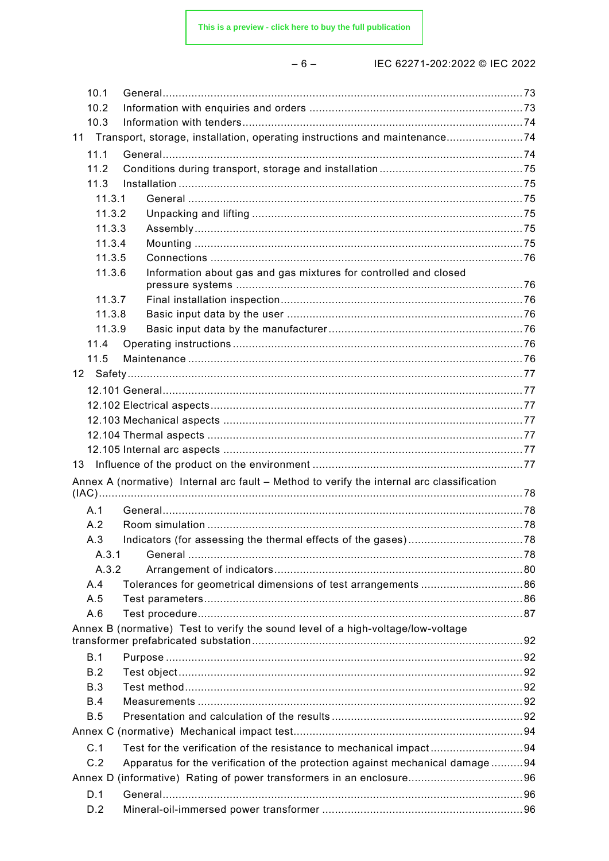| × | ۰. |
|---|----|
|---|----|

IEC 62271-202:2022 © IEC 2022

| 10.2       |                                                                                           |  |
|------------|-------------------------------------------------------------------------------------------|--|
|            |                                                                                           |  |
| 10.3       |                                                                                           |  |
|            | 11 Transport, storage, installation, operating instructions and maintenance74             |  |
| 11.1       |                                                                                           |  |
| 11.2       |                                                                                           |  |
| 11.3       |                                                                                           |  |
| 11.3.1     |                                                                                           |  |
| 11.3.2     |                                                                                           |  |
| 11.3.3     |                                                                                           |  |
| 11.3.4     |                                                                                           |  |
| 11.3.5     |                                                                                           |  |
| 11.3.6     | Information about gas and gas mixtures for controlled and closed                          |  |
| 11.3.7     |                                                                                           |  |
| 11.3.8     |                                                                                           |  |
| 11.3.9     |                                                                                           |  |
| 11.4       |                                                                                           |  |
| 11.5       |                                                                                           |  |
|            |                                                                                           |  |
|            |                                                                                           |  |
|            |                                                                                           |  |
|            |                                                                                           |  |
|            |                                                                                           |  |
|            |                                                                                           |  |
|            |                                                                                           |  |
|            | Annex A (normative) Internal arc fault - Method to verify the internal arc classification |  |
|            |                                                                                           |  |
|            |                                                                                           |  |
| A.1        |                                                                                           |  |
| A.2        |                                                                                           |  |
| A.3        |                                                                                           |  |
| A.3.1      |                                                                                           |  |
| A.3.2      |                                                                                           |  |
| A.4<br>A.5 |                                                                                           |  |
| A.6        |                                                                                           |  |
|            |                                                                                           |  |
|            | Annex B (normative) Test to verify the sound level of a high-voltage/low-voltage          |  |
| B.1        |                                                                                           |  |
| B.2        |                                                                                           |  |
| B.3        |                                                                                           |  |
| B.4        |                                                                                           |  |
| B.5        |                                                                                           |  |
|            |                                                                                           |  |
| C.1        | Test for the verification of the resistance to mechanical impact94                        |  |
| C.2        | Apparatus for the verification of the protection against mechanical damage 94             |  |
|            |                                                                                           |  |
| D.1        |                                                                                           |  |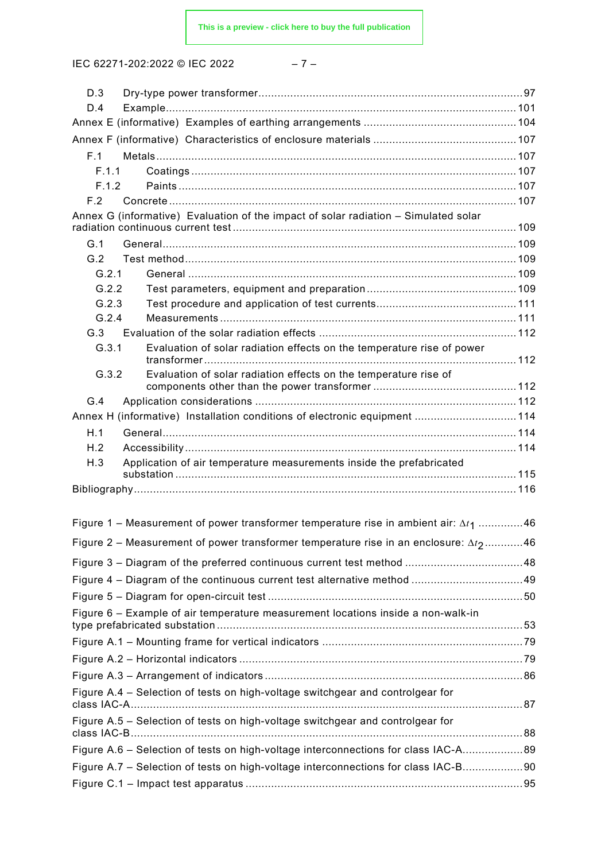IEC 62271-202:2022 © IEC 2022 – 7 –

| D.3                                                                                           |  |
|-----------------------------------------------------------------------------------------------|--|
| D.4                                                                                           |  |
|                                                                                               |  |
|                                                                                               |  |
| F.1                                                                                           |  |
| F.1.1                                                                                         |  |
| F.1.2<br>F.2                                                                                  |  |
| Annex G (informative) Evaluation of the impact of solar radiation - Simulated solar           |  |
|                                                                                               |  |
| G.1                                                                                           |  |
| G.2                                                                                           |  |
| G.2.1                                                                                         |  |
| G.2.2                                                                                         |  |
| G.2.3                                                                                         |  |
| G.2.4                                                                                         |  |
| G.3                                                                                           |  |
| Evaluation of solar radiation effects on the temperature rise of power<br>G.3.1               |  |
| Evaluation of solar radiation effects on the temperature rise of<br>G.3.2                     |  |
|                                                                                               |  |
| G.4                                                                                           |  |
| Annex H (informative) Installation conditions of electronic equipment 114                     |  |
| H.1                                                                                           |  |
| H.2                                                                                           |  |
| Application of air temperature measurements inside the prefabricated<br>H.3                   |  |
|                                                                                               |  |
|                                                                                               |  |
| Figure 1 – Measurement of power transformer temperature rise in ambient air: $\Delta t_1$ 46  |  |
| Figure 2 – Measurement of power transformer temperature rise in an enclosure: $\Delta t_2$ 46 |  |
|                                                                                               |  |
| Figure 4 – Diagram of the continuous current test alternative method 49                       |  |
|                                                                                               |  |
| Figure 6 - Example of air temperature measurement locations inside a non-walk-in              |  |
|                                                                                               |  |
|                                                                                               |  |
|                                                                                               |  |
|                                                                                               |  |
| Figure A.4 – Selection of tests on high-voltage switchgear and controlgear for                |  |
| Figure A.5 - Selection of tests on high-voltage switchgear and controlgear for                |  |
|                                                                                               |  |
| Figure A.6 - Selection of tests on high-voltage interconnections for class IAC-A89            |  |
| Figure A.7 - Selection of tests on high-voltage interconnections for class IAC-B90            |  |
|                                                                                               |  |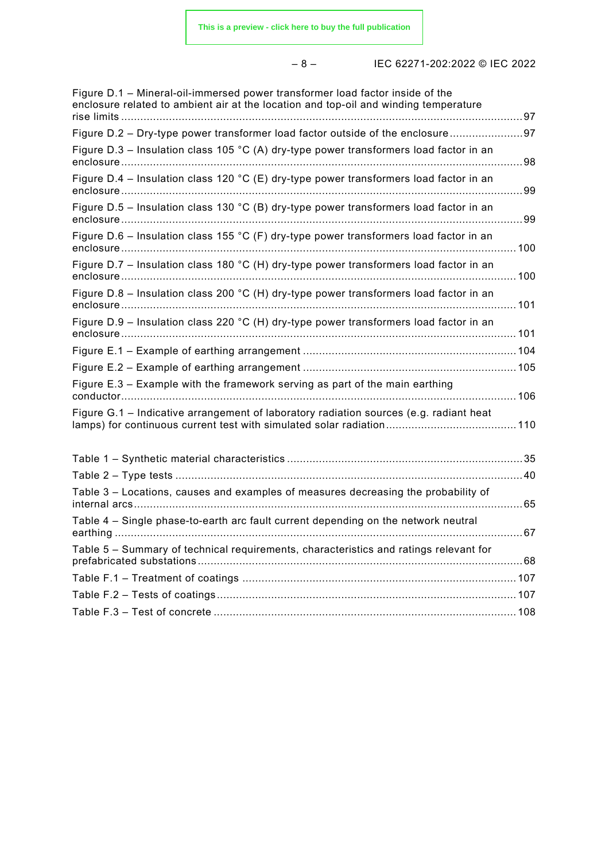|--|--|--|

# – 8 – IEC 62271-202:2022 © IEC 2022

| Figure D.1 - Mineral-oil-immersed power transformer load factor inside of the<br>enclosure related to ambient air at the location and top-oil and winding temperature |  |
|-----------------------------------------------------------------------------------------------------------------------------------------------------------------------|--|
| Figure D.2 - Dry-type power transformer load factor outside of the enclosure                                                                                          |  |
| Figure D.3 - Insulation class 105 °C (A) dry-type power transformers load factor in an                                                                                |  |
| Figure D.4 - Insulation class 120 °C (E) dry-type power transformers load factor in an                                                                                |  |
| Figure D.5 - Insulation class 130 °C (B) dry-type power transformers load factor in an                                                                                |  |
| Figure D.6 - Insulation class 155 °C (F) dry-type power transformers load factor in an                                                                                |  |
| Figure D.7 - Insulation class 180 °C (H) dry-type power transformers load factor in an                                                                                |  |
| Figure D.8 - Insulation class 200 °C (H) dry-type power transformers load factor in an                                                                                |  |
| Figure D.9 - Insulation class 220 °C (H) dry-type power transformers load factor in an                                                                                |  |
|                                                                                                                                                                       |  |
|                                                                                                                                                                       |  |
| Figure E.3 - Example with the framework serving as part of the main earthing                                                                                          |  |
| Figure G.1 - Indicative arrangement of laboratory radiation sources (e.g. radiant heat                                                                                |  |
|                                                                                                                                                                       |  |
|                                                                                                                                                                       |  |
| Table 3 - Locations, causes and examples of measures decreasing the probability of                                                                                    |  |
| Table 4 - Single phase-to-earth arc fault current depending on the network neutral                                                                                    |  |
| Table 5 - Summary of technical requirements, characteristics and ratings relevant for                                                                                 |  |
|                                                                                                                                                                       |  |
|                                                                                                                                                                       |  |
|                                                                                                                                                                       |  |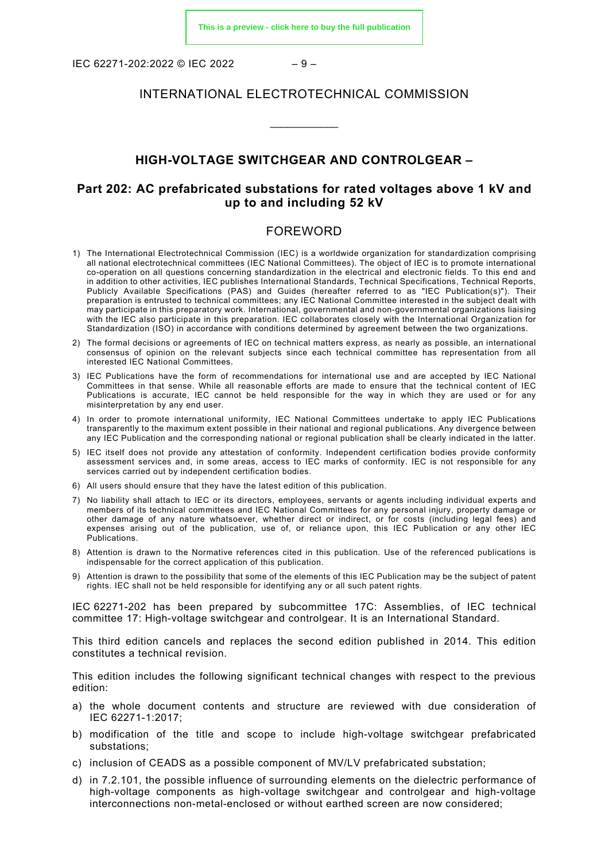IEC 62271-202:2022 © IEC 2022  $-9-$ 

#### INTERNATIONAL ELECTROTECHNICAL COMMISSION

\_\_\_\_\_\_\_\_\_\_\_\_

#### **HIGH-VOLTAGE SWITCHGEAR AND CONTROLGEAR –**

#### **Part 202: AC prefabricated substations for rated voltages above 1 kV and up to and including 52 kV**

#### FOREWORD

- <span id="page-8-0"></span>1) The International Electrotechnical Commission (IEC) is a worldwide organization for standardization comprising all national electrotechnical committees (IEC National Committees). The object of IEC is to promote international co-operation on all questions concerning standardization in the electrical and electronic fields. To this end and in addition to other activities, IEC publishes International Standards, Technical Specifications, Technical Reports, Publicly Available Specifications (PAS) and Guides (hereafter referred to as "IEC Publication(s)"). Their preparation is entrusted to technical committees; any IEC National Committee interested in the subject dealt with may participate in this preparatory work. International, governmental and non-governmental organizations liaising with the IEC also participate in this preparation. IEC collaborates closely with the International Organization for Standardization (ISO) in accordance with conditions determined by agreement between the two organizations.
- 2) The formal decisions or agreements of IEC on technical matters express, as nearly as possible, an international consensus of opinion on the relevant subjects since each technical committee has representation from all interested IEC National Committees.
- 3) IEC Publications have the form of recommendations for international use and are accepted by IEC National Committees in that sense. While all reasonable efforts are made to ensure that the technical content of IEC Publications is accurate, IEC cannot be held responsible for the way in which they are used or for any misinterpretation by any end user.
- 4) In order to promote international uniformity, IEC National Committees undertake to apply IEC Publications transparently to the maximum extent possible in their national and regional publications. Any divergence between any IEC Publication and the corresponding national or regional publication shall be clearly indicated in the latter.
- 5) IEC itself does not provide any attestation of conformity. Independent certification bodies provide conformity assessment services and, in some areas, access to IEC marks of conformity. IEC is not responsible for any services carried out by independent certification bodies.
- 6) All users should ensure that they have the latest edition of this publication.
- 7) No liability shall attach to IEC or its directors, employees, servants or agents including individual experts and members of its technical committees and IEC National Committees for any personal injury, property damage or other damage of any nature whatsoever, whether direct or indirect, or for costs (including legal fees) and expenses arising out of the publication, use of, or reliance upon, this IEC Publication or any other IEC Publications.
- 8) Attention is drawn to the Normative references cited in this publication. Use of the referenced publications is indispensable for the correct application of this publication.
- 9) Attention is drawn to the possibility that some of the elements of this IEC Publication may be the subject of patent rights. IEC shall not be held responsible for identifying any or all such patent rights.

IEC 62271-202 has been prepared by subcommittee 17C: Assemblies, of IEC technical committee 17: High-voltage switchgear and controlgear. It is an International Standard.

This third edition cancels and replaces the second edition published in 2014. This edition constitutes a technical revision.

This edition includes the following significant technical changes with respect to the previous edition:

- a) the whole document contents and structure are reviewed with due consideration of IEC 62271-1:2017;
- b) modification of the title and scope to include high-voltage switchgear prefabricated substations;
- c) inclusion of CEADS as a possible component of MV/LV prefabricated substation;
- d) in 7.2.101, the possible influence of surrounding elements on the dielectric performance of high-voltage components as high-voltage switchgear and controlgear and high-voltage interconnections non-metal-enclosed or without earthed screen are now considered;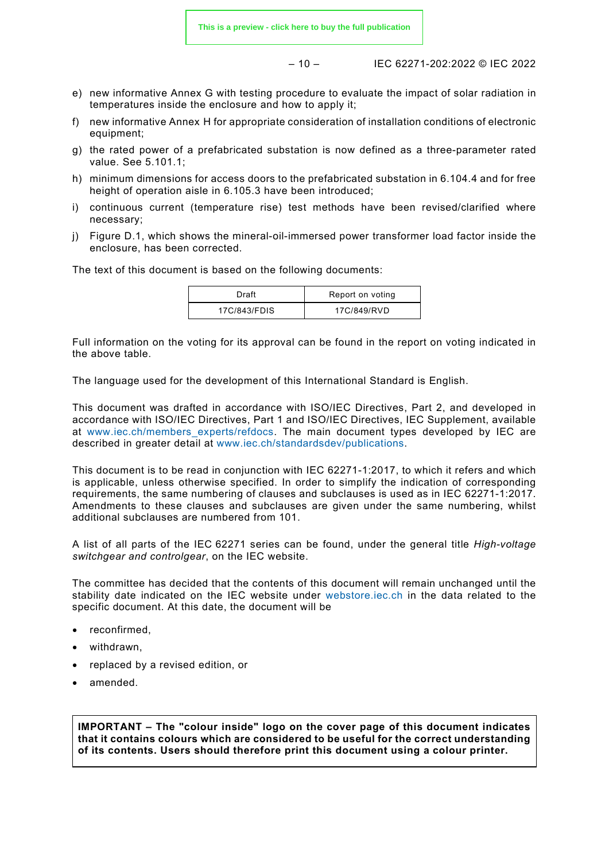– 10 – IEC 62271-202:2022 © IEC 2022

- e) new informative Annex G with testing procedure to evaluate the impact of solar radiation in temperatures inside the enclosure and how to apply it;
- f) new informative Annex H for appropriate consideration of installation conditions of electronic equipment;
- g) the rated power of a prefabricated substation is now defined as a three-parameter rated value. See 5.101.1;
- h) minimum dimensions for access doors to the prefabricated substation in 6.104.4 and for free height of operation aisle in 6.105.3 have been introduced;
- i) continuous current (temperature rise) test methods have been revised/clarified where necessary;
- j) Figure D.1, which shows the mineral-oil-immersed power transformer load factor inside the enclosure, has been corrected.

The text of this document is based on the following documents:

| Draft        | Report on voting |  |
|--------------|------------------|--|
| 17C/843/FDIS | 17C/849/RVD      |  |

Full information on the voting for its approval can be found in the report on voting indicated in the above table.

The language used for the development of this International Standard is English.

This document was drafted in accordance with ISO/IEC Directives, Part 2, and developed in accordance with ISO/IEC Directives, Part 1 and ISO/IEC Directives, IEC Supplement, available at [www.iec.ch/members\\_experts/refdocs.](http://www.iec.ch/members_experts/refdocs) The main document types developed by IEC are described in greater detail at [www.iec.ch/standardsdev/publications.](http://www.iec.ch/standardsdev/publications)

This document is to be read in conjunction with IEC 62271-1:2017, to which it refers and which is applicable, unless otherwise specified. In order to simplify the indication of corresponding requirements, the same numbering of clauses and subclauses is used as in IEC 62271-1:2017. Amendments to these clauses and subclauses are given under the same numbering, whilst additional subclauses are numbered from 101.

A list of all parts of the IEC 62271 series can be found, under the general title *High-voltage switchgear and controlgear*, on the IEC website.

The committee has decided that the contents of this document will remain unchanged until the stability date indicated on the IEC website under [webstore.iec.ch](https://webstore.iec.ch/?ref=menu) in the data related to the specific document. At this date, the document will be

- reconfirmed,
- withdrawn,
- replaced by a revised edition, or
- amended.

**IMPORTANT – The "colour inside" logo on the cover page of this document indicates that it contains colours which are considered to be useful for the correct understanding of its contents. Users should therefore print this document using a colour printer.**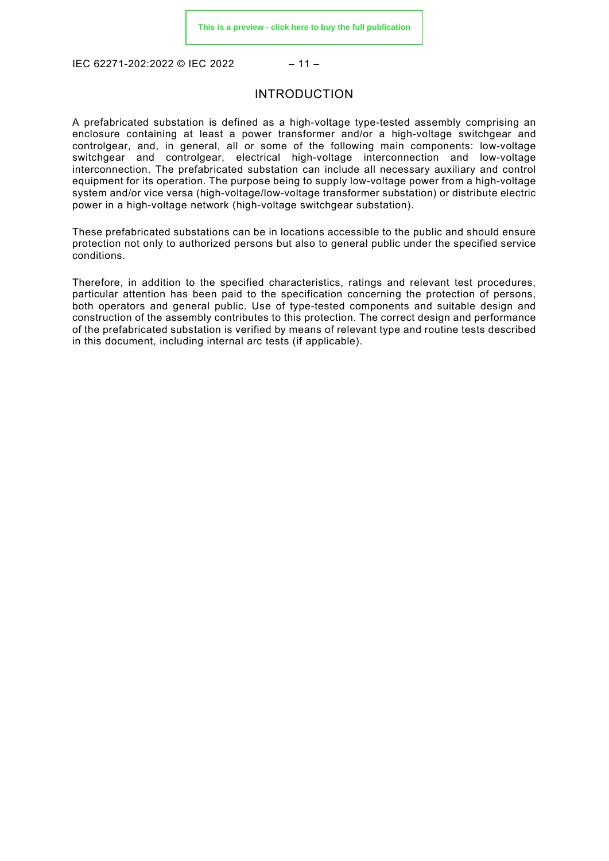<span id="page-10-0"></span>IEC 62271-202:2022 © IEC 2022 – 11 –

#### INTRODUCTION

A prefabricated substation is defined as a high-voltage type-tested assembly comprising an enclosure containing at least a power transformer and/or a high-voltage switchgear and controlgear, and, in general, all or some of the following main components: low-voltage switchgear and controlgear, electrical high-voltage interconnection and low-voltage interconnection. The prefabricated substation can include all necessary auxiliary and control equipment for its operation. The purpose being to supply low-voltage power from a high-voltage system and/or vice versa (high-voltage/low-voltage transformer substation) or distribute electric power in a high-voltage network (high-voltage switchgear substation).

These prefabricated substations can be in locations accessible to the public and should ensure protection not only to authorized persons but also to general public under the specified service conditions.

Therefore, in addition to the specified characteristics, ratings and relevant test procedures, particular attention has been paid to the specification concerning the protection of persons, both operators and general public. Use of type-tested components and suitable design and construction of the assembly contributes to this protection. The correct design and performance of the prefabricated substation is verified by means of relevant type and routine tests described in this document, including internal arc tests (if applicable).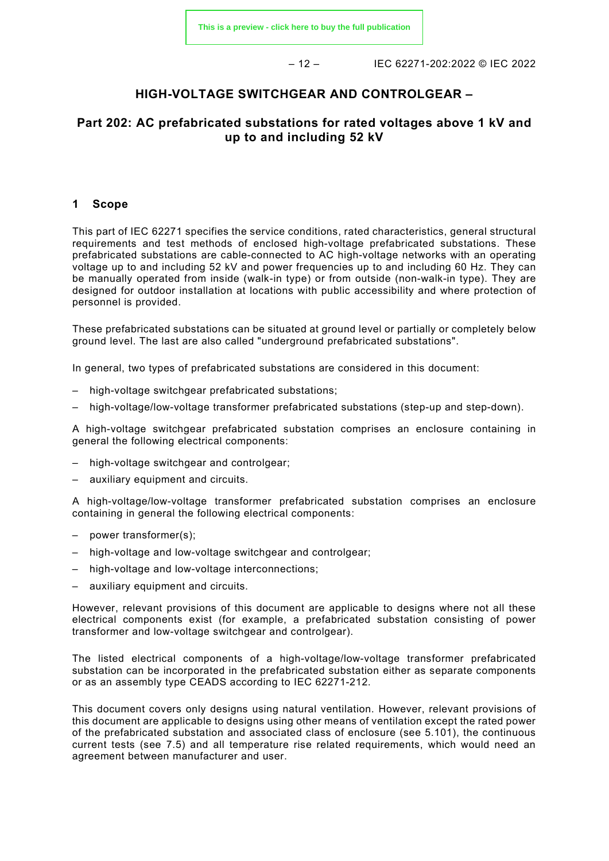– 12 – IEC 62271-202:2022 © IEC 2022

#### **HIGH-VOLTAGE SWITCHGEAR AND CONTROLGEAR –**

### **Part 202: AC prefabricated substations for rated voltages above 1 kV and up to and including 52 kV**

#### <span id="page-11-0"></span>**1 Scope**

This part of IEC 62271 specifies the service conditions, rated characteristics, general structural requirements and test methods of enclosed high-voltage prefabricated substations. These prefabricated substations are cable-connected to AC high-voltage networks with an operating voltage up to and including 52 kV and power frequencies up to and including 60 Hz. They can be manually operated from inside (walk-in type) or from outside (non-walk-in type). They are designed for outdoor installation at locations with public accessibility and where protection of personnel is provided.

These prefabricated substations can be situated at ground level or partially or completely below ground level. The last are also called "underground prefabricated substations".

In general, two types of prefabricated substations are considered in this document:

- high-voltage switchgear prefabricated substations;
- high-voltage/low-voltage transformer prefabricated substations (step-up and step-down).

A high-voltage switchgear prefabricated substation comprises an enclosure containing in general the following electrical components:

- high-voltage switchgear and controlgear;
- auxiliary equipment and circuits.

A high-voltage/low-voltage transformer prefabricated substation comprises an enclosure containing in general the following electrical components:

- power transformer(s);
- high-voltage and low-voltage switchgear and controlgear;
- high-voltage and low-voltage interconnections;
- auxiliary equipment and circuits.

However, relevant provisions of this document are applicable to designs where not all these electrical components exist (for example, a prefabricated substation consisting of power transformer and low-voltage switchgear and controlgear).

The listed electrical components of a high-voltage/low-voltage transformer prefabricated substation can be incorporated in the prefabricated substation either as separate components or as an assembly type CEADS according to IEC 62271-212.

This document covers only designs using natural ventilation. However, relevant provisions of this document are applicable to designs using other means of ventilation except the rated power of the prefabricated substation and associated class of enclosure (see 5.101), the continuous current tests (see 7.5) and all temperature rise related requirements, which would need an agreement between manufacturer and user.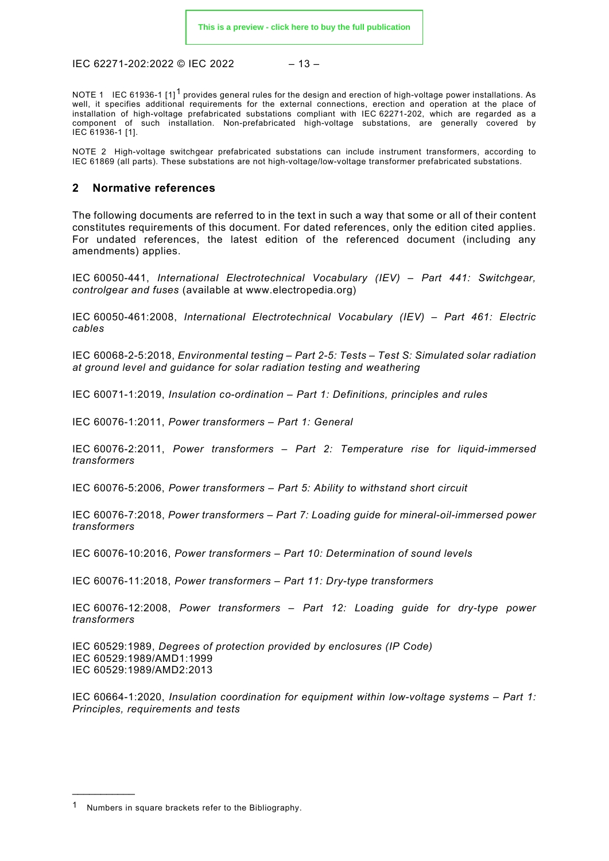IEC 62271-202:2022 © IEC 2022 – 13 –

NOTE [1](#page-12-1) IEC 61936-1 [1]<sup>1</sup> provides general rules for the design and erection of high-voltage power installations. As well, it specifies additional requirements for the external connections, erection and operation at the place of installation of high-voltage prefabricated substations compliant with IEC 62271-202, which are regarded as a component of such installation. Non-prefabricated high-voltage substations, are generally covered by IEC 61936-1 [1].

NOTE 2 High-voltage switchgear prefabricated substations can include instrument transformers, according to IEC 61869 (all parts). These substations are not high-voltage/low-voltage transformer prefabricated substations.

#### <span id="page-12-0"></span>**2 Normative references**

The following documents are referred to in the text in such a way that some or all of their content constitutes requirements of this document. For dated references, only the edition cited applies. For undated references, the latest edition of the referenced document (including any amendments) applies.

IEC 60050-441, *International Electrotechnical Vocabulary (IEV) – Part 441: Switchgear, controlgear and fuses* (available at www.electropedia.org)

IEC 60050-461:2008, *International Electrotechnical Vocabulary (IEV) – Part 461: Electric cables*

IEC 60068-2-5:2018, *Environmental testing – Part 2-5: Tests – Test S: Simulated solar radiation at ground level and guidance for solar radiation testing and weathering*

IEC 60071-1:2019, *Insulation co-ordination – Part 1: Definitions, principles and rules*

IEC 60076-1:2011, *Power transformers – Part 1: General*

IEC 60076-2:2011, *Power transformers – Part 2: Temperature rise for liquid-immersed transformers*

IEC 60076-5:2006, *Power transformers – Part 5: Ability to withstand short circuit*

IEC 60076-7:2018, *Power transformers – Part 7: Loading guide for mineral-oil-immersed power transformers*

IEC 60076-10:2016, *Power transformers – Part 10: Determination of sound levels*

IEC 60076-11:2018, *Power transformers – Part 11: Dry-type transformers*

IEC 60076-12:2008, *Power transformers – Part 12: Loading guide for dry-type power transformers*

IEC 60529:1989, *Degrees of protection provided by enclosures (IP Code)* IEC 60529:1989/AMD1:1999 IEC 60529:1989/AMD2:2013

IEC 60664-1:2020, *Insulation coordination for equipment within low-voltage systems – Part 1: Principles, requirements and tests*

\_\_\_\_\_\_\_\_\_\_\_

<span id="page-12-1"></span><sup>1</sup> Numbers in square brackets refer to the Bibliography.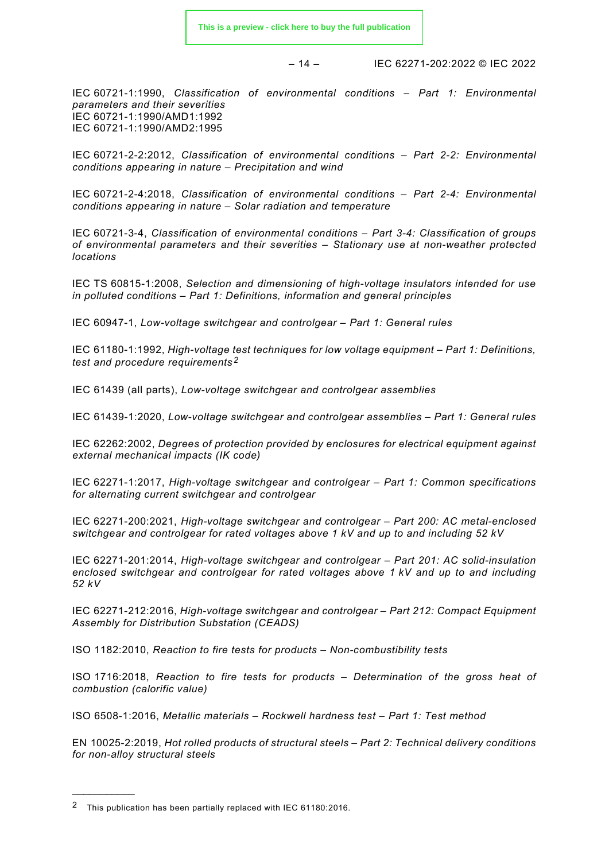– 14 – IEC 62271-202:2022 © IEC 2022

IEC 60721-1:1990, *Classification of environmental conditions – Part 1: Environmental parameters and their severities* IEC 60721-1:1990/AMD1:1992 IEC 60721-1:1990/AMD2:1995

IEC 60721-2-2:2012, *Classification of environmental conditions – Part 2-2: Environmental conditions appearing in nature – Precipitation and wind*

IEC 60721-2-4:2018, *Classification of environmental conditions – Part 2-4: Environmental conditions appearing in nature – Solar radiation and temperature*

IEC 60721-3-4, *Classification of environmental conditions – Part 3-4: Classification of groups of environmental parameters and their severities – Stationary use at non-weather protected locations*

IEC TS 60815-1:2008, *Selection and dimensioning of high-voltage insulators intended for use in polluted conditions – Part 1: Definitions, information and general principles*

IEC 60947-1, *Low-voltage switchgear and controlgear – Part 1: General rules*

IEC 61180-1:1992, *High-voltage test techniques for low voltage equipment – Part 1: Definitions, test and procedure requirements [2](#page-13-0)*

IEC 61439 (all parts), *Low-voltage switchgear and controlgear assemblies*

IEC 61439-1:2020, *Low-voltage switchgear and controlgear assemblies – Part 1: General rules*

IEC 62262:2002, *Degrees of protection provided by enclosures for electrical equipment against external mechanical impacts (IK code)*

IEC 62271-1:2017, *High-voltage switchgear and controlgear – Part 1: Common specifications for alternating current switchgear and controlgear*

IEC 62271-200:2021, *High-voltage switchgear and controlgear – Part 200: AC metal-enclosed switchgear and controlgear for rated voltages above 1 kV and up to and including 52 kV*

IEC 62271-201:2014, *High-voltage switchgear and controlgear – Part 201: AC solid-insulation enclosed switchgear and controlgear for rated voltages above 1 kV and up to and including 52 kV*

IEC 62271-212:2016, *High-voltage switchgear and controlgear – Part 212: Compact Equipment Assembly for Distribution Substation (CEADS)*

ISO 1182:2010, *Reaction to fire tests for products – Non-combustibility tests*

ISO 1716:2018, *Reaction to fire tests for products – Determination of the gross heat of combustion (calorific value)*

ISO 6508-1:2016, *Metallic materials – Rockwell hardness test – Part 1: Test method*

EN 10025-2:2019, *Hot rolled products of structural steels – Part 2: Technical delivery conditions for non-alloy structural steels*

\_\_\_\_\_\_\_\_\_\_\_

<span id="page-13-0"></span><sup>2</sup> This publication has been partially replaced with IEC 61180:2016.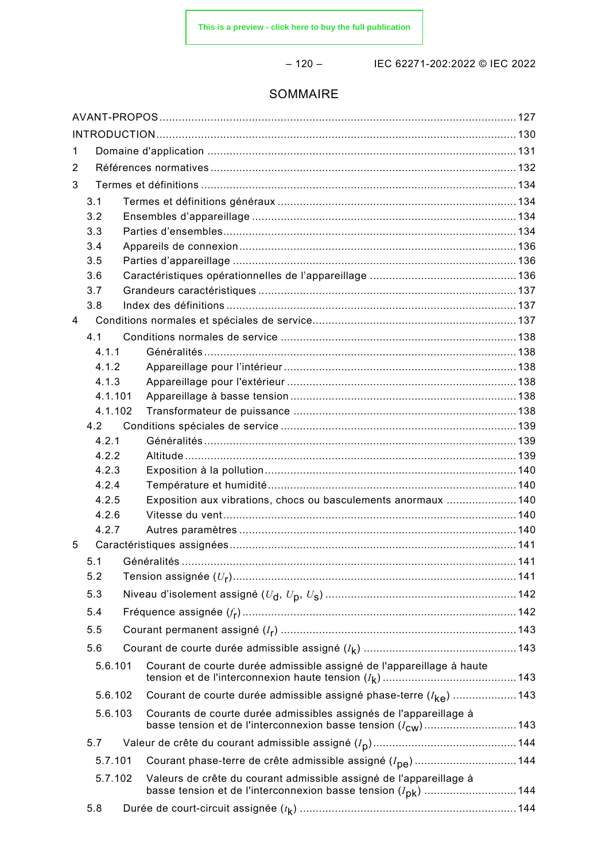– 120 – IEC 62271-202:2022 © IEC 2022

# SOMMAIRE

| $\mathbf 1$ |         |  |                                                                                                                                                |  |
|-------------|---------|--|------------------------------------------------------------------------------------------------------------------------------------------------|--|
| 2           |         |  |                                                                                                                                                |  |
| 3           |         |  |                                                                                                                                                |  |
|             | 3.1     |  |                                                                                                                                                |  |
|             | 3.2     |  |                                                                                                                                                |  |
|             | 3.3     |  |                                                                                                                                                |  |
|             | 3.4     |  |                                                                                                                                                |  |
|             | 3.5     |  |                                                                                                                                                |  |
|             | 3.6     |  |                                                                                                                                                |  |
|             | 3.7     |  |                                                                                                                                                |  |
|             | 3.8     |  |                                                                                                                                                |  |
| 4           |         |  |                                                                                                                                                |  |
|             | 4.1     |  |                                                                                                                                                |  |
|             | 4.1.1   |  |                                                                                                                                                |  |
|             | 4.1.2   |  |                                                                                                                                                |  |
|             | 4.1.3   |  |                                                                                                                                                |  |
|             | 4.1.101 |  |                                                                                                                                                |  |
|             | 4.1.102 |  |                                                                                                                                                |  |
|             | 4.2     |  |                                                                                                                                                |  |
|             | 4.2.1   |  |                                                                                                                                                |  |
|             | 4.2.2   |  |                                                                                                                                                |  |
|             | 4.2.3   |  |                                                                                                                                                |  |
|             | 4.2.4   |  |                                                                                                                                                |  |
|             | 4.2.5   |  | Exposition aux vibrations, chocs ou basculements anormaux  140                                                                                 |  |
|             | 4.2.6   |  |                                                                                                                                                |  |
|             | 4.2.7   |  |                                                                                                                                                |  |
| 5           |         |  |                                                                                                                                                |  |
|             | 5.1     |  |                                                                                                                                                |  |
|             | 5.2     |  |                                                                                                                                                |  |
|             | 5.3     |  |                                                                                                                                                |  |
|             | 5.4     |  |                                                                                                                                                |  |
|             | 5.5     |  |                                                                                                                                                |  |
|             | 5.6     |  |                                                                                                                                                |  |
|             | 5.6.101 |  | Courant de courte durée admissible assigné de l'appareillage à haute                                                                           |  |
|             | 5.6.102 |  | Courant de courte durée admissible assigné phase-terre (I <sub>ke</sub> )  143                                                                 |  |
|             | 5.6.103 |  | Courants de courte durée admissibles assignés de l'appareillage à                                                                              |  |
|             |         |  | basse tension et de l'interconnexion basse tension $(I_{\text{cw}})$ 143                                                                       |  |
|             | 5.7     |  |                                                                                                                                                |  |
|             | 5.7.101 |  | Courant phase-terre de crête admissible assigné (I <sub>pe</sub> )144                                                                          |  |
|             | 5.7.102 |  | Valeurs de crête du courant admissible assigné de l'appareillage à<br>basse tension et de l'interconnexion basse tension $(I_{\text{pk}})$ 144 |  |
|             | 5.8     |  |                                                                                                                                                |  |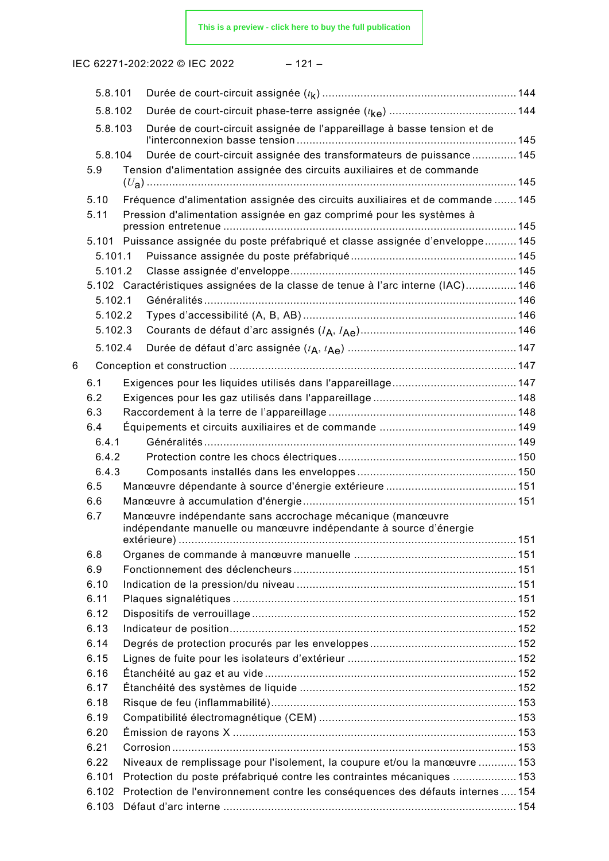IEC 62271-202:2022 © IEC 2022

|--|--|--|

|   | 5.8.101 |                                                                                                                                |  |
|---|---------|--------------------------------------------------------------------------------------------------------------------------------|--|
|   | 5.8.102 |                                                                                                                                |  |
|   | 5.8.103 | Durée de court-circuit assignée de l'appareillage à basse tension et de                                                        |  |
|   | 5.8.104 | Durée de court-circuit assignée des transformateurs de puissance 145                                                           |  |
|   | 5.9     | Tension d'alimentation assignée des circuits auxiliaires et de commande                                                        |  |
|   | 5.10    | Fréquence d'alimentation assignée des circuits auxiliaires et de commande  145                                                 |  |
|   | 5.11    | Pression d'alimentation assignée en gaz comprimé pour les systèmes à                                                           |  |
|   |         | 5.101 Puissance assignée du poste préfabriqué et classe assignée d'enveloppe 145                                               |  |
|   | 5.101.1 |                                                                                                                                |  |
|   | 5.101.2 |                                                                                                                                |  |
|   |         | 5.102 Caractéristiques assignées de la classe de tenue à l'arc interne (IAC)146                                                |  |
|   | 5.102.1 |                                                                                                                                |  |
|   | 5.102.2 |                                                                                                                                |  |
|   | 5.102.3 |                                                                                                                                |  |
|   |         |                                                                                                                                |  |
|   | 5.102.4 |                                                                                                                                |  |
| 6 |         |                                                                                                                                |  |
|   | 6.1     |                                                                                                                                |  |
|   | 6.2     |                                                                                                                                |  |
|   | 6.3     |                                                                                                                                |  |
|   | 6.4     |                                                                                                                                |  |
|   | 6.4.1   |                                                                                                                                |  |
|   | 6.4.2   |                                                                                                                                |  |
|   | 6.4.3   |                                                                                                                                |  |
|   | 6.5     |                                                                                                                                |  |
|   | 6.6     |                                                                                                                                |  |
|   | 6.7     | Manœuvre indépendante sans accrochage mécanique (manœuvre<br>indépendante manuelle ou manœuvre indépendante à source d'énergie |  |
|   |         |                                                                                                                                |  |
|   | 6.8     |                                                                                                                                |  |
|   | 6.9     |                                                                                                                                |  |
|   | 6.10    |                                                                                                                                |  |
|   | 6.11    |                                                                                                                                |  |
|   | 6.12    |                                                                                                                                |  |
|   | 6.13    |                                                                                                                                |  |
|   | 6.14    |                                                                                                                                |  |
|   | 6.15    |                                                                                                                                |  |
|   | 6.16    |                                                                                                                                |  |
|   | 6.17    |                                                                                                                                |  |
|   | 6.18    |                                                                                                                                |  |
|   | 6.19    |                                                                                                                                |  |
|   | 6.20    |                                                                                                                                |  |
|   | 6.21    |                                                                                                                                |  |
|   | 6.22    | Niveaux de remplissage pour l'isolement, la coupure et/ou la manœuvre 153                                                      |  |
|   | 6.101   | Protection du poste préfabriqué contre les contraintes mécaniques 153                                                          |  |
|   | 6.102   | Protection de l'environnement contre les conséquences des défauts internes  154                                                |  |
|   | 6.103   |                                                                                                                                |  |
|   |         |                                                                                                                                |  |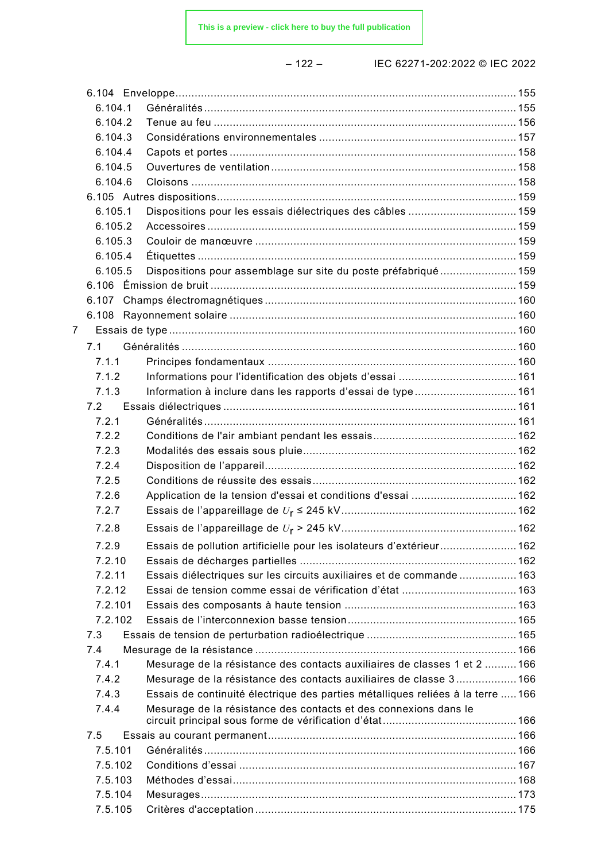|--|--|

– 122 – IEC 62271-202:2022 © IEC 2022

|   | 6.104.1 |                                                                                 |  |
|---|---------|---------------------------------------------------------------------------------|--|
|   | 6.104.2 |                                                                                 |  |
|   | 6.104.3 |                                                                                 |  |
|   | 6.104.4 |                                                                                 |  |
|   | 6.104.5 |                                                                                 |  |
|   | 6.104.6 |                                                                                 |  |
|   |         |                                                                                 |  |
|   | 6.105.1 | Dispositions pour les essais diélectriques des câbles  159                      |  |
|   | 6.105.2 |                                                                                 |  |
|   | 6.105.3 |                                                                                 |  |
|   | 6.105.4 |                                                                                 |  |
|   | 6.105.5 | Dispositions pour assemblage sur site du poste préfabriqué  159                 |  |
|   |         |                                                                                 |  |
|   |         |                                                                                 |  |
|   |         |                                                                                 |  |
| 7 |         |                                                                                 |  |
|   | 7.1     |                                                                                 |  |
|   | 7.1.1   |                                                                                 |  |
|   | 7.1.2   |                                                                                 |  |
|   | 7.1.3   | Information à inclure dans les rapports d'essai de type 161                     |  |
|   | 7.2     |                                                                                 |  |
|   | 7.2.1   |                                                                                 |  |
|   | 7.2.2   |                                                                                 |  |
|   | 7.2.3   |                                                                                 |  |
|   | 7.2.4   |                                                                                 |  |
|   | 7.2.5   |                                                                                 |  |
|   | 7.2.6   | Application de la tension d'essai et conditions d'essai  162                    |  |
|   | 7.2.7   |                                                                                 |  |
|   | 7.2.8   |                                                                                 |  |
|   | 7.2.9   | Essais de pollution artificielle pour les isolateurs d'extérieur 162            |  |
|   | 7.2.10  |                                                                                 |  |
|   | 7.2.11  | Essais diélectriques sur les circuits auxiliaires et de commande  163           |  |
|   |         |                                                                                 |  |
|   | 7.2.12  |                                                                                 |  |
|   | 7.2.101 |                                                                                 |  |
|   | 7.2.102 |                                                                                 |  |
|   | 7.3     |                                                                                 |  |
|   | 7.4     |                                                                                 |  |
|   | 7.4.1   | Mesurage de la résistance des contacts auxiliaires de classes 1 et 2 166        |  |
|   | 7.4.2   | Mesurage de la résistance des contacts auxiliaires de classe 3166               |  |
|   | 7.4.3   | Essais de continuité électrique des parties métalliques reliées à la terre  166 |  |
|   | 7.4.4   | Mesurage de la résistance des contacts et des connexions dans le                |  |
|   | 7.5     |                                                                                 |  |
|   | 7.5.101 |                                                                                 |  |
|   | 7.5.102 |                                                                                 |  |
|   | 7.5.103 |                                                                                 |  |
|   | 7.5.104 |                                                                                 |  |
|   | 7.5.105 |                                                                                 |  |
|   |         |                                                                                 |  |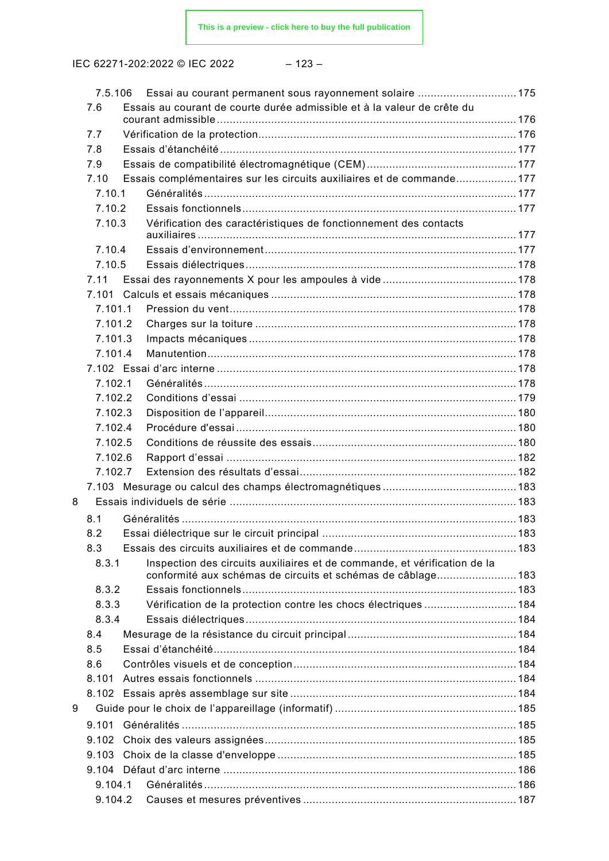IEC 62271-202:2022 © IEC 2022

|--|--|

|   | 7.5.106 | Essai au courant permanent sous rayonnement solaire 175                   |  |
|---|---------|---------------------------------------------------------------------------|--|
|   | 7.6     | Essais au courant de courte durée admissible et à la valeur de crête du   |  |
|   |         |                                                                           |  |
|   | 7.7     |                                                                           |  |
|   | 7.8     |                                                                           |  |
|   | 7.9     |                                                                           |  |
|   | 7.10    | Essais complémentaires sur les circuits auxiliaires et de commande177     |  |
|   | 7.10.1  |                                                                           |  |
|   | 7.10.2  |                                                                           |  |
|   | 7.10.3  | Vérification des caractéristiques de fonctionnement des contacts          |  |
|   | 7.10.4  |                                                                           |  |
|   | 7.10.5  |                                                                           |  |
|   | 7.11    |                                                                           |  |
|   | 7.101   |                                                                           |  |
|   | 7.101.1 |                                                                           |  |
|   | 7.101.2 |                                                                           |  |
|   | 7.101.3 |                                                                           |  |
|   | 7.101.4 |                                                                           |  |
|   |         |                                                                           |  |
|   | 7.102.1 |                                                                           |  |
|   | 7.102.2 |                                                                           |  |
|   | 7.102.3 |                                                                           |  |
|   | 7.102.4 |                                                                           |  |
|   | 7.102.5 |                                                                           |  |
|   | 7.102.6 |                                                                           |  |
|   | 7.102.7 |                                                                           |  |
|   |         |                                                                           |  |
| 8 |         |                                                                           |  |
|   | 8.1     |                                                                           |  |
|   | 8.2     |                                                                           |  |
|   | 8.3     |                                                                           |  |
|   | 8.3.1   | Inspection des circuits auxiliaires et de commande, et vérification de la |  |
|   |         | conformité aux schémas de circuits et schémas de câblage 183              |  |
|   | 8.3.2   |                                                                           |  |
|   | 8.3.3   | Vérification de la protection contre les chocs électriques  184           |  |
|   | 8.3.4   |                                                                           |  |
|   | 8.4     |                                                                           |  |
|   | 8.5     |                                                                           |  |
|   | 8.6     |                                                                           |  |
|   | 8.101   |                                                                           |  |
|   | 8.102   |                                                                           |  |
| 9 |         |                                                                           |  |
|   | 9.101   |                                                                           |  |
|   | 9.102   |                                                                           |  |
|   | 9.103   |                                                                           |  |
|   |         |                                                                           |  |
|   | 9.104.1 |                                                                           |  |
|   | 9.104.2 |                                                                           |  |
|   |         |                                                                           |  |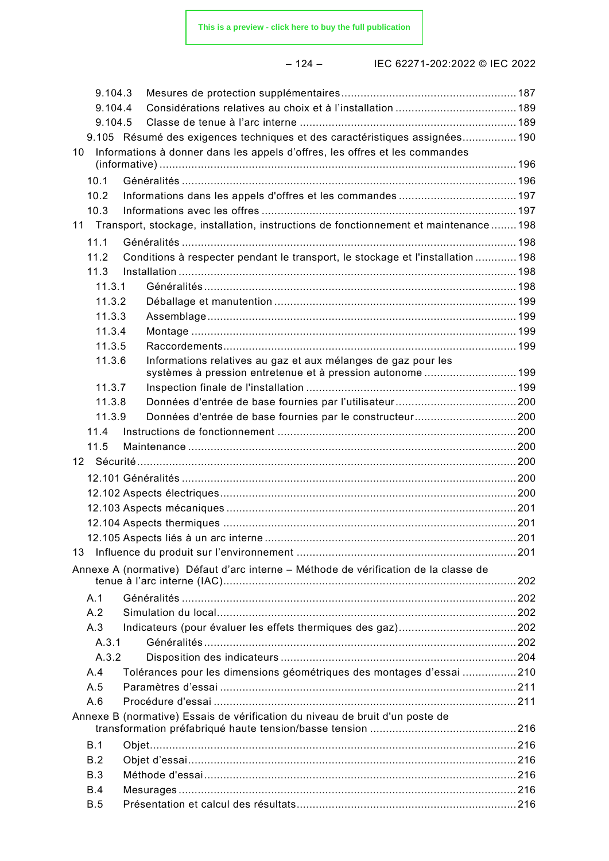|--|

– 124 – IEC 62271-202:2022 © IEC 2022

| 9.104.3    |                                                                                                                           |  |
|------------|---------------------------------------------------------------------------------------------------------------------------|--|
| 9.104.4    |                                                                                                                           |  |
| 9.104.5    |                                                                                                                           |  |
|            | 9.105 Résumé des exigences techniques et des caractéristiques assignées190                                                |  |
| 10         | Informations à donner dans les appels d'offres, les offres et les commandes                                               |  |
|            |                                                                                                                           |  |
| 10.1       |                                                                                                                           |  |
| 10.2       |                                                                                                                           |  |
| 10.3       |                                                                                                                           |  |
| 11         | Transport, stockage, installation, instructions de fonctionnement et maintenance  198                                     |  |
| 11.1       |                                                                                                                           |  |
| 11.2       | Conditions à respecter pendant le transport, le stockage et l'installation  198                                           |  |
| 11.3       |                                                                                                                           |  |
| 11.3.1     |                                                                                                                           |  |
| 11.3.2     |                                                                                                                           |  |
| 11.3.3     |                                                                                                                           |  |
| 11.3.4     |                                                                                                                           |  |
| 11.3.5     |                                                                                                                           |  |
| 11.3.6     | Informations relatives au gaz et aux mélanges de gaz pour les<br>systèmes à pression entretenue et à pression autonome199 |  |
| 11.3.7     |                                                                                                                           |  |
| 11.3.8     |                                                                                                                           |  |
| 11.3.9     |                                                                                                                           |  |
| 11.4       |                                                                                                                           |  |
| 11.5       |                                                                                                                           |  |
|            |                                                                                                                           |  |
|            |                                                                                                                           |  |
|            |                                                                                                                           |  |
|            |                                                                                                                           |  |
|            |                                                                                                                           |  |
|            |                                                                                                                           |  |
| 13         |                                                                                                                           |  |
|            | Annexe A (normative) Défaut d'arc interne - Méthode de vérification de la classe de                                       |  |
|            |                                                                                                                           |  |
| A.1        |                                                                                                                           |  |
| A.2        |                                                                                                                           |  |
| A.3        |                                                                                                                           |  |
| A.3.1      |                                                                                                                           |  |
| A.3.2      |                                                                                                                           |  |
| A.4        | Tolérances pour les dimensions géométriques des montages d'essai 210                                                      |  |
| A.5        |                                                                                                                           |  |
| A.6        |                                                                                                                           |  |
|            | Annexe B (normative) Essais de vérification du niveau de bruit d'un poste de                                              |  |
| B.1        |                                                                                                                           |  |
| B.2        |                                                                                                                           |  |
| B.3        |                                                                                                                           |  |
| <b>B.4</b> |                                                                                                                           |  |
| B.5        |                                                                                                                           |  |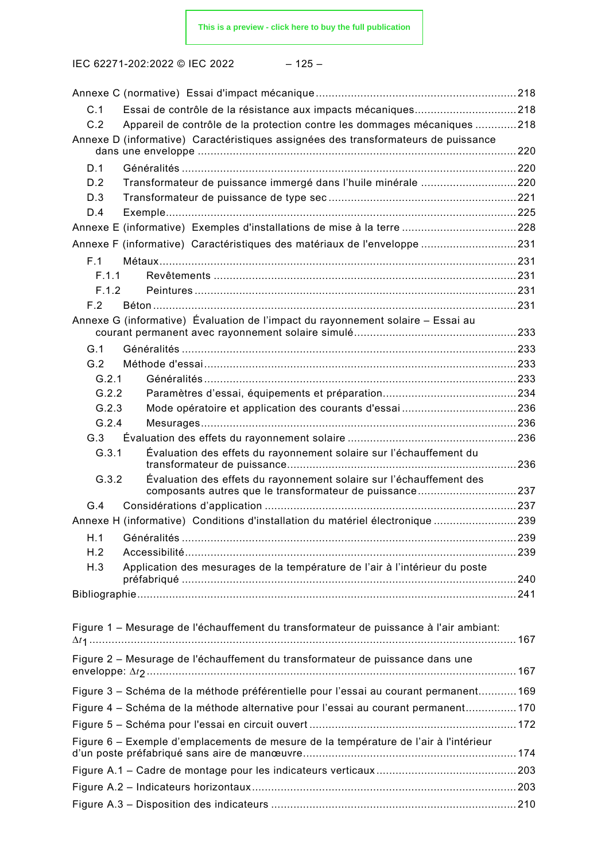IEC 62271-202:2022 © IEC 2022 – 125 –

| C.1   |                                                                                       |  |
|-------|---------------------------------------------------------------------------------------|--|
| C.2   | Appareil de contrôle de la protection contre les dommages mécaniques 218              |  |
|       | Annexe D (informative) Caractéristiques assignées des transformateurs de puissance    |  |
|       |                                                                                       |  |
| D.1   |                                                                                       |  |
| D.2   | Transformateur de puissance immergé dans l'huile minérale 220                         |  |
| D.3   |                                                                                       |  |
| D.4   |                                                                                       |  |
|       |                                                                                       |  |
|       | Annexe F (informative) Caractéristiques des matériaux de l'enveloppe 231              |  |
| F.1   |                                                                                       |  |
| F.1.1 |                                                                                       |  |
| F.1.2 |                                                                                       |  |
| F.2   |                                                                                       |  |
|       | Annexe G (informative) Évaluation de l'impact du rayonnement solaire – Essai au       |  |
|       |                                                                                       |  |
| G.1   |                                                                                       |  |
| G.2   |                                                                                       |  |
| G.2.1 |                                                                                       |  |
| G.2.2 |                                                                                       |  |
| G.2.3 |                                                                                       |  |
| G.2.4 |                                                                                       |  |
|       |                                                                                       |  |
| G.3.1 | Évaluation des effets du rayonnement solaire sur l'échauffement du                    |  |
| G.3.2 | Évaluation des effets du rayonnement solaire sur l'échauffement des                   |  |
|       | composants autres que le transformateur de puissance237                               |  |
| G.4   |                                                                                       |  |
|       | Annexe H (informative) Conditions d'installation du matériel électronique 239         |  |
| H.1   |                                                                                       |  |
| H.2   |                                                                                       |  |
| H.3   | Application des mesurages de la température de l'air à l'intérieur du poste           |  |
|       |                                                                                       |  |
|       |                                                                                       |  |
|       | Figure 1 – Mesurage de l'échauffement du transformateur de puissance à l'air ambiant: |  |
|       |                                                                                       |  |
|       |                                                                                       |  |
|       | Figure 2 - Mesurage de l'échauffement du transformateur de puissance dans une         |  |
|       | Figure 3 - Schéma de la méthode préférentielle pour l'essai au courant permanent 169  |  |
|       |                                                                                       |  |
|       | Figure 4 – Schéma de la méthode alternative pour l'essai au courant permanent170      |  |
|       |                                                                                       |  |
|       | Figure 6 - Exemple d'emplacements de mesure de la température de l'air à l'intérieur  |  |
|       |                                                                                       |  |
|       |                                                                                       |  |
|       |                                                                                       |  |
|       |                                                                                       |  |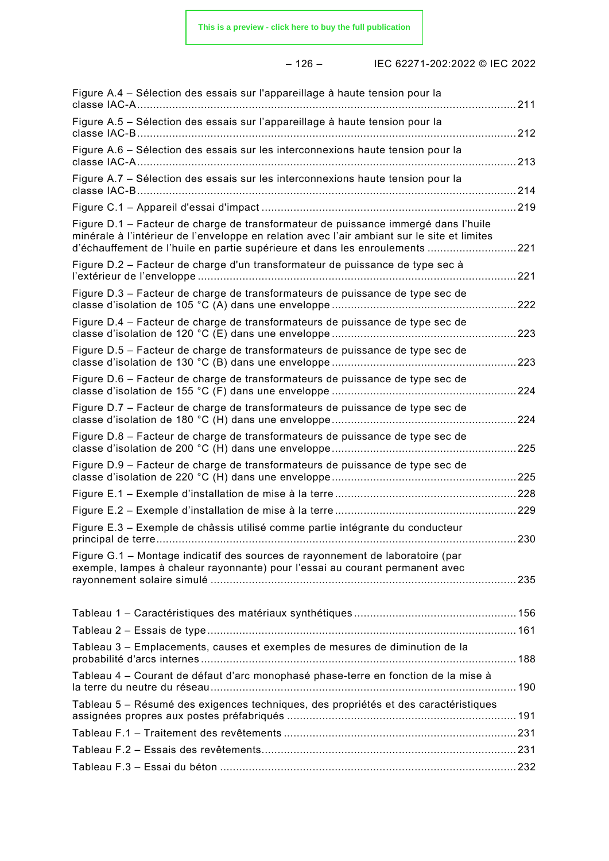|  |  | × |  |
|--|--|---|--|
|--|--|---|--|

– 126 – IEC 62271-202:2022 © IEC 2022

| Figure A.4 - Sélection des essais sur l'appareillage à haute tension pour la                                                                                                                                                                                     | 211          |
|------------------------------------------------------------------------------------------------------------------------------------------------------------------------------------------------------------------------------------------------------------------|--------------|
| Figure A.5 - Sélection des essais sur l'appareillage à haute tension pour la                                                                                                                                                                                     | 212          |
| Figure A.6 - Sélection des essais sur les interconnexions haute tension pour la                                                                                                                                                                                  | 213          |
| Figure A.7 - Sélection des essais sur les interconnexions haute tension pour la                                                                                                                                                                                  |              |
|                                                                                                                                                                                                                                                                  | 219          |
| Figure D.1 – Facteur de charge de transformateur de puissance immergé dans l'huile<br>minérale à l'intérieur de l'enveloppe en relation avec l'air ambiant sur le site et limites<br>d'échauffement de l'huile en partie supérieure et dans les enroulements 221 |              |
| Figure D.2 – Facteur de charge d'un transformateur de puissance de type sec à                                                                                                                                                                                    | 221          |
| Figure D.3 - Facteur de charge de transformateurs de puissance de type sec de                                                                                                                                                                                    | 222          |
| Figure D.4 – Facteur de charge de transformateurs de puissance de type sec de                                                                                                                                                                                    | 223          |
| Figure D.5 - Facteur de charge de transformateurs de puissance de type sec de                                                                                                                                                                                    | .223         |
| Figure D.6 - Facteur de charge de transformateurs de puissance de type sec de                                                                                                                                                                                    | 224          |
| Figure D.7 – Facteur de charge de transformateurs de puissance de type sec de                                                                                                                                                                                    | .224         |
| Figure D.8 - Facteur de charge de transformateurs de puissance de type sec de                                                                                                                                                                                    | 225          |
| Figure D.9 – Facteur de charge de transformateurs de puissance de type sec de                                                                                                                                                                                    |              |
|                                                                                                                                                                                                                                                                  |              |
|                                                                                                                                                                                                                                                                  |              |
| Figure E.3 – Exemple de châssis utilisé comme partie intégrante du conducteur                                                                                                                                                                                    | $\ldots$ 230 |
| Figure G.1 – Montage indicatif des sources de rayonnement de laboratoire (par<br>exemple, lampes à chaleur rayonnante) pour l'essai au courant permanent avec                                                                                                    |              |
|                                                                                                                                                                                                                                                                  |              |
|                                                                                                                                                                                                                                                                  |              |
| Tableau 3 – Emplacements, causes et exemples de mesures de diminution de la                                                                                                                                                                                      |              |
| Tableau 4 - Courant de défaut d'arc monophasé phase-terre en fonction de la mise à                                                                                                                                                                               |              |
| Tableau 5 - Résumé des exigences techniques, des propriétés et des caractéristiques                                                                                                                                                                              |              |
|                                                                                                                                                                                                                                                                  |              |
|                                                                                                                                                                                                                                                                  |              |
|                                                                                                                                                                                                                                                                  |              |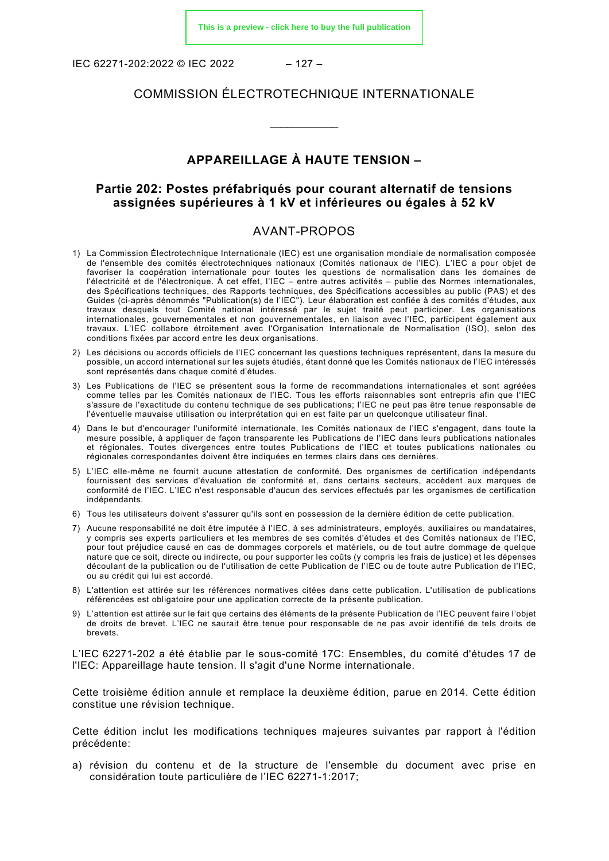IEC 62271-202:2022 © IEC 2022 – 127 –

#### COMMISSION ÉLECTROTECHNIQUE INTERNATIONALE

\_\_\_\_\_\_\_\_\_\_\_\_

# **APPAREILLAGE À HAUTE TENSION –**

#### **Partie 202: Postes préfabriqués pour courant alternatif de tensions assignées supérieures à 1 kV et inférieures ou égales à 52 kV**

#### AVANT-PROPOS

- <span id="page-21-0"></span>1) La Commission Électrotechnique Internationale (IEC) est une organisation mondiale de normalisation composée de l'ensemble des comités électrotechniques nationaux (Comités nationaux de l'IEC). L'IEC a pour objet de favoriser la coopération internationale pour toutes les questions de normalisation dans les domaines de l'électricité et de l'électronique. À cet effet, l'IEC – entre autres activités – publie des Normes internationales, des Spécifications techniques, des Rapports techniques, des Spécifications accessibles au public (PAS) et des Guides (ci-après dénommés "Publication(s) de l'IEC"). Leur élaboration est confiée à des comités d'études, aux travaux desquels tout Comité national intéressé par le sujet traité peut participer. Les organisations internationales, gouvernementales et non gouvernementales, en liaison avec l'IEC, participent également aux travaux. L'IEC collabore étroitement avec l'Organisation Internationale de Normalisation (ISO), selon des conditions fixées par accord entre les deux organisations.
- 2) Les décisions ou accords officiels de l'IEC concernant les questions techniques représentent, dans la mesure du possible, un accord international sur les sujets étudiés, étant donné que les Comités nationaux de l'IEC intéressés sont représentés dans chaque comité d'études.
- 3) Les Publications de l'IEC se présentent sous la forme de recommandations internationales et sont agréées comme telles par les Comités nationaux de l'IEC. Tous les efforts raisonnables sont entrepris afin que l'IEC s'assure de l'exactitude du contenu technique de ses publications; l'IEC ne peut pas être tenue responsable de l'éventuelle mauvaise utilisation ou interprétation qui en est faite par un quelconque utilisateur final.
- 4) Dans le but d'encourager l'uniformité internationale, les Comités nationaux de l'IEC s'engagent, dans toute la mesure possible, à appliquer de façon transparente les Publications de l'IEC dans leurs publications nationales et régionales. Toutes divergences entre toutes Publications de l'IEC et toutes publications nationales ou régionales correspondantes doivent être indiquées en termes clairs dans ces dernières.
- 5) L'IEC elle-même ne fournit aucune attestation de conformité. Des organismes de certification indépendants fournissent des services d'évaluation de conformité et, dans certains secteurs, accèdent aux marques de conformité de l'IEC. L'IEC n'est responsable d'aucun des services effectués par les organismes de certification indépendants.
- 6) Tous les utilisateurs doivent s'assurer qu'ils sont en possession de la dernière édition de cette publication.
- 7) Aucune responsabilité ne doit être imputée à l'IEC, à ses administrateurs, employés, auxiliaires ou mandataires, y compris ses experts particuliers et les membres de ses comités d'études et des Comités nationaux de l'IEC, pour tout préjudice causé en cas de dommages corporels et matériels, ou de tout autre dommage de quelque nature que ce soit, directe ou indirecte, ou pour supporter les coûts (y compris les frais de justice) et les dépenses découlant de la publication ou de l'utilisation de cette Publication de l'IEC ou de toute autre Publication de l'IEC, ou au crédit qui lui est accordé.
- 8) L'attention est attirée sur les références normatives citées dans cette publication. L'utilisation de publications référencées est obligatoire pour une application correcte de la présente publication.
- 9) L'attention est attirée sur le fait que certains des éléments de la présente Publication de l'IEC peuvent faire l'objet de droits de brevet. L'IEC ne saurait être tenue pour responsable de ne pas avoir identifié de tels droits de brevets.

L'IEC 62271-202 a été établie par le sous-comité 17C: Ensembles, du comité d'études 17 de l'IEC: Appareillage haute tension. Il s'agit d'une Norme internationale.

Cette troisième édition annule et remplace la deuxième édition, parue en 2014. Cette édition constitue une révision technique.

Cette édition inclut les modifications techniques majeures suivantes par rapport à l'édition précédente:

a) révision du contenu et de la structure de l'ensemble du document avec prise en considération toute particulière de l'IEC 62271-1:2017;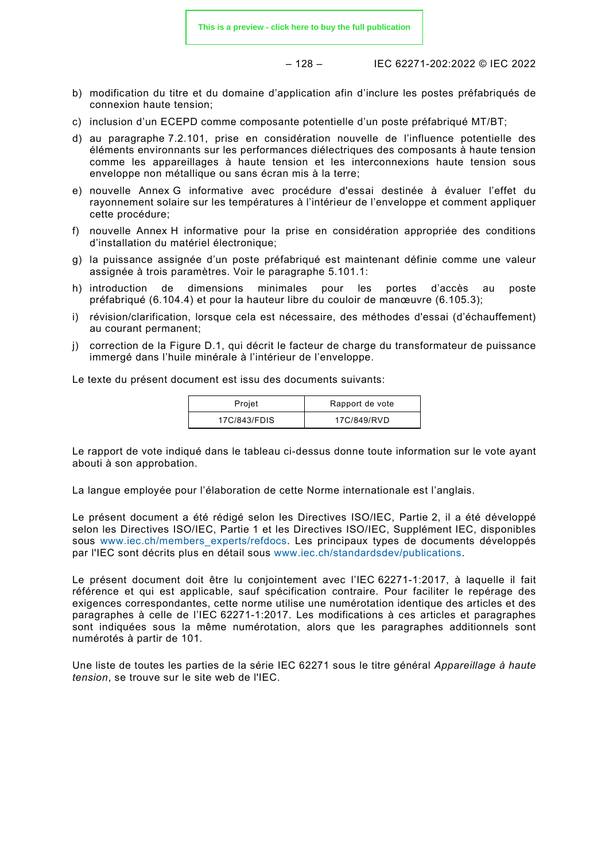– 128 – IEC 62271-202:2022 © IEC 2022

- b) modification du titre et du domaine d'application afin d'inclure les postes préfabriqués de connexion haute tension;
- c) inclusion d'un ECEPD comme composante potentielle d'un poste préfabriqué MT/BT;
- d) au paragraphe 7.2.101, prise en considération nouvelle de l'influence potentielle des éléments environnants sur les performances diélectriques des composants à haute tension comme les appareillages à haute tension et les interconnexions haute tension sous enveloppe non métallique ou sans écran mis à la terre;
- e) nouvelle Annex G informative avec procédure d'essai destinée à évaluer l'effet du rayonnement solaire sur les températures à l'intérieur de l'enveloppe et comment appliquer cette procédure;
- f) nouvelle Annex H informative pour la prise en considération appropriée des conditions d'installation du matériel électronique;
- g) la puissance assignée d'un poste préfabriqué est maintenant définie comme une valeur assignée à trois paramètres. Voir le paragraphe 5.101.1:
- h) introduction de dimensions minimales pour les portes d'accès au poste préfabriqué (6.104.4) et pour la hauteur libre du couloir de manœuvre (6.105.3);
- i) révision/clarification, lorsque cela est nécessaire, des méthodes d'essai (d'échauffement) au courant permanent;
- j) correction de la Figure D.1, qui décrit le facteur de charge du transformateur de puissance immergé dans l'huile minérale à l'intérieur de l'enveloppe.

Le texte du présent document est issu des documents suivants:

| Projet       | Rapport de vote |  |
|--------------|-----------------|--|
| 17C/843/FDIS | 17C/849/RVD     |  |

Le rapport de vote indiqué dans le tableau ci-dessus donne toute information sur le vote ayant abouti à son approbation.

La langue employée pour l'élaboration de cette Norme internationale est l'anglais.

Le présent document a été rédigé selon les Directives ISO/IEC, Partie 2, il a été développé selon les Directives ISO/IEC, Partie 1 et les Directives ISO/IEC, Supplément IEC, disponibles sous [www.iec.ch/members\\_experts/refdocs.](https://www.iec.ch/members_experts/refdocs/) Les principaux types de documents développés par l'IEC sont décrits plus en détail sous [www.iec.ch/standardsdev/publications.](http://www.iec.ch/standardsdev/publications)

Le présent document doit être lu conjointement avec l'IEC 62271-1:2017, à laquelle il fait référence et qui est applicable, sauf spécification contraire. Pour faciliter le repérage des exigences correspondantes, cette norme utilise une numérotation identique des articles et des paragraphes à celle de l'IEC 62271-1:2017. Les modifications à ces articles et paragraphes sont indiquées sous la même numérotation, alors que les paragraphes additionnels sont numérotés à partir de 101.

Une liste de toutes les parties de la série IEC 62271 sous le titre général *Appareillage à haute tension*, se trouve sur le site web de l'IEC.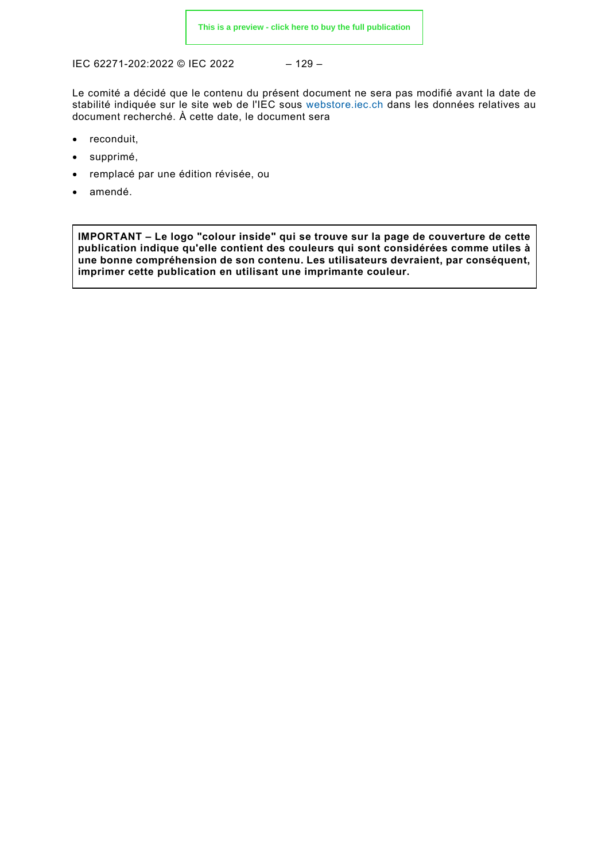IEC 62271-202:2022 © IEC 2022 – 129 –

Le comité a décidé que le contenu du présent document ne sera pas modifié avant la date de stabilité indiquée sur le site web de l'IEC sous [webstore.iec.ch](https://webstore.iec.ch/?ref=menu) dans les données relatives au document recherché. À cette date, le document sera

- reconduit,
- supprimé,
- remplacé par une édition révisée, ou
- amendé.

**IMPORTANT – Le logo "colour inside" qui se trouve sur la page de couverture de cette publication indique qu'elle contient des couleurs qui sont considérées comme utiles à une bonne compréhension de son contenu. Les utilisateurs devraient, par conséquent, imprimer cette publication en utilisant une imprimante couleur.**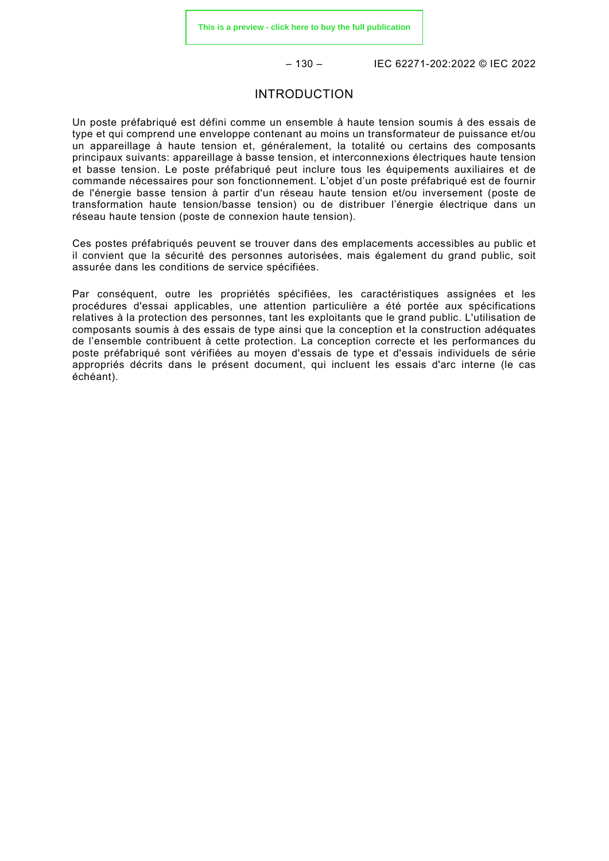$-130 -$  IEC 62271-202:2022 © IEC 2022

#### INTRODUCTION

<span id="page-24-0"></span>Un poste préfabriqué est défini comme un ensemble à haute tension soumis à des essais de type et qui comprend une enveloppe contenant au moins un transformateur de puissance et/ou un appareillage à haute tension et, généralement, la totalité ou certains des composants principaux suivants: appareillage à basse tension, et interconnexions électriques haute tension et basse tension. Le poste préfabriqué peut inclure tous les équipements auxiliaires et de commande nécessaires pour son fonctionnement. L'objet d'un poste préfabriqué est de fournir de l'énergie basse tension à partir d'un réseau haute tension et/ou inversement (poste de transformation haute tension/basse tension) ou de distribuer l'énergie électrique dans un réseau haute tension (poste de connexion haute tension).

Ces postes préfabriqués peuvent se trouver dans des emplacements accessibles au public et il convient que la sécurité des personnes autorisées, mais également du grand public, soit assurée dans les conditions de service spécifiées.

Par conséquent, outre les propriétés spécifiées, les caractéristiques assignées et les procédures d'essai applicables, une attention particulière a été portée aux spécifications relatives à la protection des personnes, tant les exploitants que le grand public. L'utilisation de composants soumis à des essais de type ainsi que la conception et la construction adéquates de l'ensemble contribuent à cette protection. La conception correcte et les performances du poste préfabriqué sont vérifiées au moyen d'essais de type et d'essais individuels de série appropriés décrits dans le présent document, qui incluent les essais d'arc interne (le cas échéant).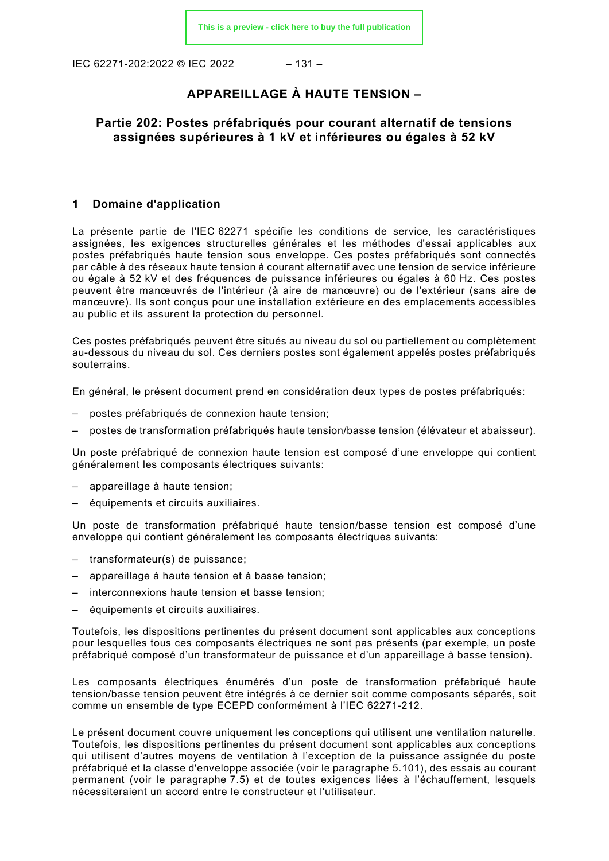IEC 62271-202:2022 © IEC 2022 – 131 –

# **APPAREILLAGE À HAUTE TENSION –**

#### **Partie 202: Postes préfabriqués pour courant alternatif de tensions assignées supérieures à 1 kV et inférieures ou égales à 52 kV**

#### <span id="page-25-0"></span>**1 Domaine d'application**

La présente partie de l'IEC 62271 spécifie les conditions de service, les caractéristiques assignées, les exigences structurelles générales et les méthodes d'essai applicables aux postes préfabriqués haute tension sous enveloppe. Ces postes préfabriqués sont connectés par câble à des réseaux haute tension à courant alternatif avec une tension de service inférieure ou égale à 52 kV et des fréquences de puissance inférieures ou égales à 60 Hz. Ces postes peuvent être manœuvrés de l'intérieur (à aire de manœuvre) ou de l'extérieur (sans aire de manœuvre). Ils sont conçus pour une installation extérieure en des emplacements accessibles au public et ils assurent la protection du personnel.

Ces postes préfabriqués peuvent être situés au niveau du sol ou partiellement ou complètement au-dessous du niveau du sol. Ces derniers postes sont également appelés postes préfabriqués souterrains.

En général, le présent document prend en considération deux types de postes préfabriqués:

- postes préfabriqués de connexion haute tension;
- postes de transformation préfabriqués haute tension/basse tension (élévateur et abaisseur).

Un poste préfabriqué de connexion haute tension est composé d'une enveloppe qui contient généralement les composants électriques suivants:

- appareillage à haute tension;
- équipements et circuits auxiliaires.

Un poste de transformation préfabriqué haute tension/basse tension est composé d'une enveloppe qui contient généralement les composants électriques suivants:

- transformateur(s) de puissance;
- appareillage à haute tension et à basse tension;
- interconnexions haute tension et basse tension;
- équipements et circuits auxiliaires.

Toutefois, les dispositions pertinentes du présent document sont applicables aux conceptions pour lesquelles tous ces composants électriques ne sont pas présents (par exemple, un poste préfabriqué composé d'un transformateur de puissance et d'un appareillage à basse tension).

Les composants électriques énumérés d'un poste de transformation préfabriqué haute tension/basse tension peuvent être intégrés à ce dernier soit comme composants séparés, soit comme un ensemble de type ECEPD conformément à l'IEC 62271-212.

Le présent document couvre uniquement les conceptions qui utilisent une ventilation naturelle. Toutefois, les dispositions pertinentes du présent document sont applicables aux conceptions qui utilisent d'autres moyens de ventilation à l'exception de la puissance assignée du poste préfabriqué et la classe d'enveloppe associée (voir le paragraphe 5.101), des essais au courant permanent (voir le paragraphe 7.5) et de toutes exigences liées à l'échauffement, lesquels nécessiteraient un accord entre le constructeur et l'utilisateur.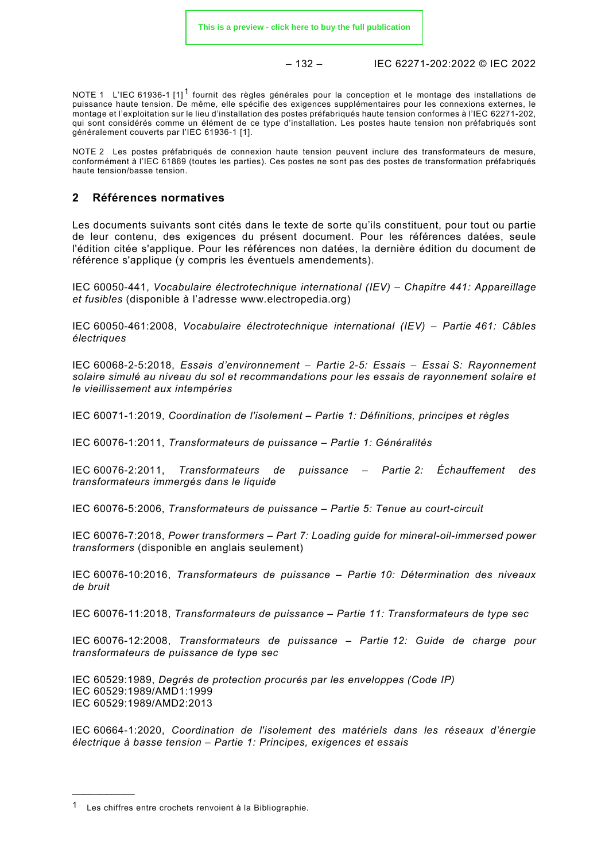– 132 – IEC 62271-202:2022 © IEC 2022

NOTE [1](#page-26-1) L'IEC 61936-1 [1]<sup>1</sup> fournit des règles générales pour la conception et le montage des installations de puissance haute tension. De même, elle spécifie des exigences supplémentaires pour les connexions externes, le montage et l'exploitation sur le lieu d'installation des postes préfabriqués haute tension conformes à l'IEC 62271-202, qui sont considérés comme un élément de ce type d'installation. Les postes haute tension non préfabriqués sont généralement couverts par l'IEC 61936-1 [1].

NOTE 2 Les postes préfabriqués de connexion haute tension peuvent inclure des transformateurs de mesure, conformément à l'IEC 61869 (toutes les parties). Ces postes ne sont pas des postes de transformation préfabriqués haute tension/basse tension.

#### <span id="page-26-0"></span>**2 Références normatives**

Les documents suivants sont cités dans le texte de sorte qu'ils constituent, pour tout ou partie de leur contenu, des exigences du présent document. Pour les références datées, seule l'édition citée s'applique. Pour les références non datées, la dernière édition du document de référence s'applique (y compris les éventuels amendements).

IEC 60050-441, *Vocabulaire électrotechnique international (IEV) – Chapitre 441: Appareillage et fusibles* (disponible à l'adresse www.electropedia.org)

IEC 60050-461:2008, *Vocabulaire électrotechnique international (IEV) – Partie 461: Câbles électriques*

IEC 60068-2-5:2018, *Essais d'environnement – Partie 2-5: Essais – Essai S: Rayonnement solaire simulé au niveau du sol et recommandations pour les essais de rayonnement solaire et le vieillissement aux intempéries*

IEC 60071-1:2019, *Coordination de l'isolement – Partie 1: Définitions, principes et règles*

IEC 60076-1:2011, *Transformateurs de puissance – Partie 1: Généralités*

IEC 60076-2:2011, *Transformateurs de puissance – Partie 2: Échauffement des transformateurs immergés dans le liquide*

IEC 60076-5:2006, *Transformateurs de puissance – Partie 5: Tenue au court-circuit*

IEC 60076-7:2018, *Power transformers – Part 7: Loading guide for mineral-oil-immersed power transformers* (disponible en anglais seulement)

IEC 60076-10:2016, *Transformateurs de puissance – Partie 10: Détermination des niveaux de bruit*

IEC 60076-11:2018, *Transformateurs de puissance – Partie 11: Transformateurs de type sec*

IEC 60076-12:2008, *Transformateurs de puissance – Partie 12: Guide de charge pour transformateurs de puissance de type sec*

IEC 60529:1989, *Degrés de protection procurés par les enveloppes (Code IP)* IEC 60529:1989/AMD1:1999 IEC 60529:1989/AMD2:2013

IEC 60664-1:2020, *Coordination de l'isolement des matériels dans les réseaux d'énergie électrique à basse tension – Partie 1: Principes, exigences et essais*

\_\_\_\_\_\_\_\_\_\_\_

<span id="page-26-1"></span><sup>1</sup> Les chiffres entre crochets renvoient à la Bibliographie.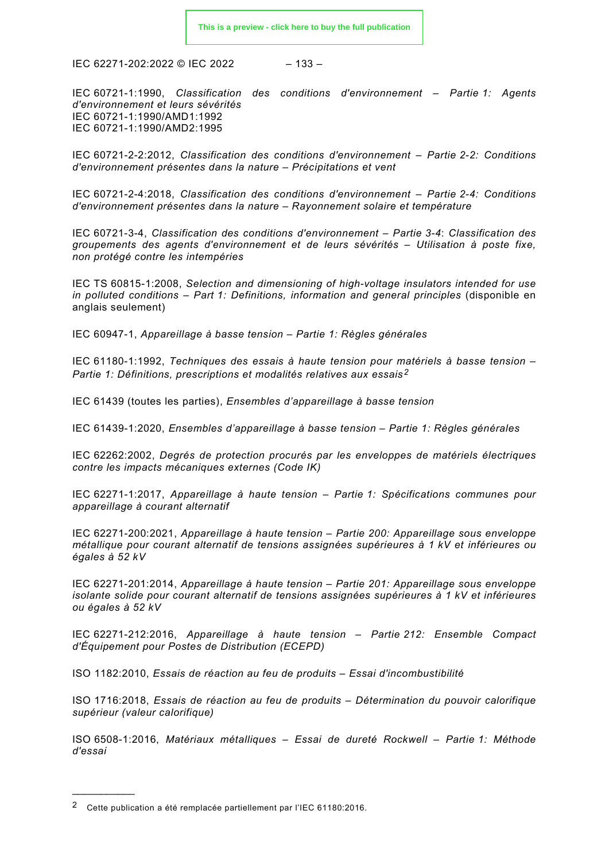IEC 62271-202:2022 © IEC 2022 – 133 –

IEC 60721-1:1990, *Classification des conditions d'environnement – Partie 1: Agents d'environnement et leurs sévérités* IEC 60721-1:1990/AMD1:1992 IEC 60721-1:1990/AMD2:1995

IEC 60721-2-2:2012, *Classification des conditions d'environnement – Partie 2-2: Conditions d'environnement présentes dans la nature – Précipitations et vent*

IEC 60721-2-4:2018, *Classification des conditions d'environnement – Partie 2-4: Conditions d'environnement présentes dans la nature – Rayonnement solaire et température*

IEC 60721-3-4, *Classification des conditions d'environnement – Partie 3-4*: *Classification des groupements des agents d'environnement et de leurs sévérités – Utilisation à poste fixe, non protégé contre les intempéries*

IEC TS 60815-1:2008, *Selection and dimensioning of high-voltage insulators intended for use in polluted conditions – Part 1: Definitions, information and general principles* (disponible en anglais seulement)

IEC 60947-1, *Appareillage à basse tension – Partie 1: Règles générales*

IEC 61180-1:1992, *Techniques des essais à haute tension pour matériels à basse tension – Partie 1: Définitions, prescriptions et modalités relatives aux essais [2](#page-27-0)*

IEC 61439 (toutes les parties), *Ensembles d'appareillage à basse tension*

IEC 61439-1:2020, *Ensembles d'appareillage à basse tension – Partie 1: Règles générales*

IEC 62262:2002, *Degrés de protection procurés par les enveloppes de matériels électriques contre les impacts mécaniques externes (Code IK)*

IEC 62271-1:2017, *Appareillage à haute tension – Partie 1: Spécifications communes pour appareillage à courant alternatif*

IEC 62271-200:2021, *Appareillage à haute tension – Partie 200: Appareillage sous enveloppe métallique pour courant alternatif de tensions assignées supérieures à 1 kV et inférieures ou égales à 52 kV*

IEC 62271-201:2014, *Appareillage à haute tension – Partie 201: Appareillage sous enveloppe isolante solide pour courant alternatif de tensions assignées supérieures à 1 kV et inférieures ou égales à 52 kV*

IEC 62271-212:2016, *Appareillage à haute tension – Partie 212: Ensemble Compact d'Équipement pour Postes de Distribution (ECEPD)*

ISO 1182:2010, *Essais de réaction au feu de produits – Essai d'incombustibilité*

ISO 1716:2018, *Essais de réaction au feu de produits – Détermination du pouvoir calorifique supérieur (valeur calorifique)*

ISO 6508-1:2016, *Matériaux métalliques – Essai de dureté Rockwell – Partie 1: Méthode d'essai*

\_\_\_\_\_\_\_\_\_\_\_

<span id="page-27-0"></span><sup>2</sup> Cette publication a été remplacée partiellement par l'IEC 61180:2016.